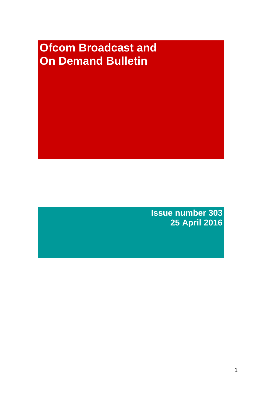# **Ofcom Broadcast and On Demand Bulletin**

**Issue number 303 25 April 2016**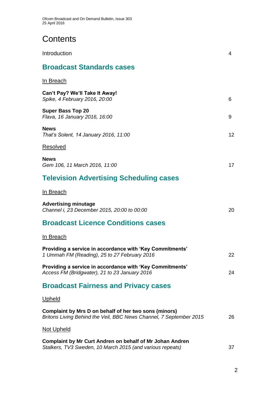## **Contents**

| Introduction                                                                                                                | 4  |
|-----------------------------------------------------------------------------------------------------------------------------|----|
| <b>Broadcast Standards cases</b>                                                                                            |    |
| In Breach                                                                                                                   |    |
| Can't Pay? We'll Take It Away!<br>Spike, 4 February 2016, 20:00                                                             | 6  |
| <b>Super Bass Top 20</b><br>Flava, 16 January 2016, 16:00                                                                   | 9  |
| <b>News</b><br>That's Solent, 14 January 2016, 11:00                                                                        | 12 |
| Resolved                                                                                                                    |    |
| <b>News</b><br>Gem 106, 11 March 2016, 11:00                                                                                | 17 |
| <b>Television Advertising Scheduling cases</b>                                                                              |    |
| In Breach                                                                                                                   |    |
| <b>Advertising minutage</b><br>Channel i, 23 December 2015, 20:00 to 00:00                                                  | 20 |
| <b>Broadcast Licence Conditions cases</b>                                                                                   |    |
| <u>In Breach</u>                                                                                                            |    |
| Providing a service in accordance with 'Key Commitments'<br>1 Ummah FM (Reading), 25 to 27 February 2016                    | 22 |
| Providing a service in accordance with 'Key Commitments'<br>Access FM (Bridgwater), 21 to 23 January 2016                   | 24 |
| <b>Broadcast Fairness and Privacy cases</b>                                                                                 |    |
| <u>Upheld</u>                                                                                                               |    |
| Complaint by Mrs D on behalf of her two sons (minors)<br>Britons Living Behind the Veil, BBC News Channel, 7 September 2015 | 26 |
| <u>Not Upheld</u>                                                                                                           |    |
| Complaint by Mr Curt Andren on behalf of Mr Johan Andren<br>Stalkers, TV3 Sweden, 10 March 2015 (and various repeats)       | 37 |
|                                                                                                                             |    |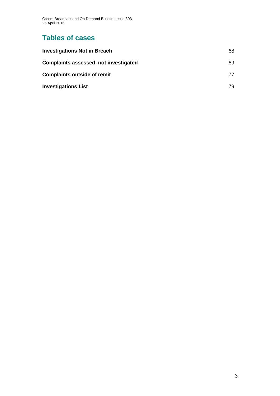Ofcom Broadcast and On Demand Bulletin, Issue 303 25 April 2016

## **Tables of cases**

| <b>Investigations Not in Breach</b>          | 68  |
|----------------------------------------------|-----|
| <b>Complaints assessed, not investigated</b> | 69  |
| <b>Complaints outside of remit</b>           | 77  |
| <b>Investigations List</b>                   | 79. |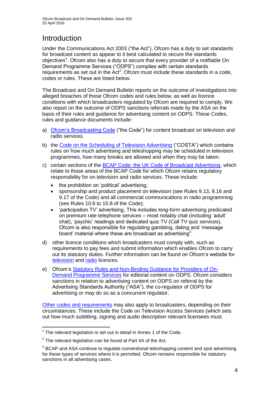## **Introduction**

Under the Communications Act 2003 ("the Act"), Ofcom has a duty to set standards for broadcast content as appear to it best calculated to secure the standards objectives<sup>1</sup>. Ofcom also has a duty to secure that every provider of a notifiable On Demand Programme Services ("ODPS") complies with certain standards requirements as set out in the Act<sup>2</sup>. Ofcom must include these standards in a code, codes or rules. These are listed below.

The Broadcast and On Demand Bulletin reports on the outcome of investigations into alleged breaches of those Ofcom codes and rules below, as well as licence conditions with which broadcasters regulated by Ofcom are required to comply. We also report on the outcome of ODPS sanctions referrals made by the ASA on the basis of their rules and guidance for advertising content on ODPS. These Codes, rules and guidance documents include:

- a) [Ofcom's Broadcasting Code](http://stakeholders.ofcom.org.uk/broadcasting/broadcast-codes/broadcast-code/) ("the Code") for content broadcast on television and radio services.
- b) the [Code on the Scheduling of Television Advertising](http://stakeholders.ofcom.org.uk/binaries/broadcast/other-codes/COSTA_April_2016.pdf) ("COSTA") which contains rules on how much advertising and teleshopping may be scheduled in television programmes, how many breaks are allowed and when they may be taken.
- c) certain sections of the [BCAP Code: the UK Code of Broadcast Advertising,](https://www.cap.org.uk/Advertising-Codes/Broadcast.aspx) which relate to those areas of the BCAP Code for which Ofcom retains regulatory responsibility for on television and radio services. These include:
	- the prohibition on 'political' advertising;
	- sponsorship and product placement on television (see Rules 9.13, 9.16 and 9.17 of the Code) and all commercial communications in radio programming (see Rules 10.6 to 10.8 of the Code);
	- 'participation TV' advertising. This includes long-form advertising predicated on premium rate telephone services – most notably chat (including 'adult' chat), 'psychic' readings and dedicated quiz TV (Call TV quiz services). Ofcom is also responsible for regulating gambling, dating and 'message board' material where these are broadcast as advertising<sup>3</sup>.
- d) other licence conditions which broadcasters must comply with, such as requirements to pay fees and submit information which enables Ofcom to carry out its statutory duties. Further information can be found on Ofcom's website for [television](http://licensing.ofcom.org.uk/tv-broadcast-licences/) and [radio](http://licensing.ofcom.org.uk/radio-broadcast-licensing/) licences.
- e) Ofcom's [Statutory Rules and Non-Binding Guidance for Providers of On-](http://stakeholders.ofcom.org.uk/binaries/broadcast/on-demand/rules-guidance/rules_and_guidance.pdf)[Demand Programme Services](http://stakeholders.ofcom.org.uk/binaries/broadcast/on-demand/rules-guidance/rules_and_guidance.pdf) for editorial content on ODPS. Ofcom considers sanctions in relation to advertising content on ODPS on referral by the Advertising Standards Authority ("ASA"), the co-regulator of ODPS for advertising or may do so as a concurrent regulator.

[Other codes and requirements](http://stakeholders.ofcom.org.uk/broadcasting/broadcast-codes/) may also apply to broadcasters, depending on their circumstances. These include the Code on Television Access Services (which sets out how much subtitling, signing and audio description relevant licensees must

<sup>1</sup>  $1$  The relevant legislation is set out in detail in Annex 1 of the Code.

 $2$  The relevant legislation can be found at Part 4A of the Act.

 $3$  BCAP and ASA continue to regulate conventional teleshopping content and spot advertising for these types of services where it is permitted. Ofcom remains responsible for statutory sanctions in all advertising cases.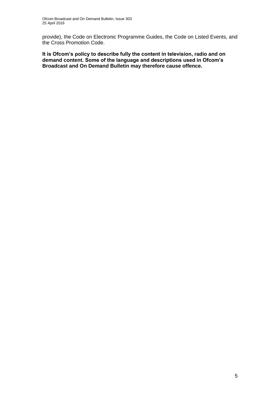provide), the Code on Electronic Programme Guides, the Code on Listed Events, and the Cross Promotion Code.

**It is Ofcom's policy to describe fully the content in television, radio and on demand content. Some of the language and descriptions used in Ofcom's Broadcast and On Demand Bulletin may therefore cause offence.**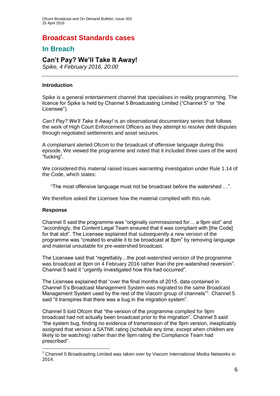## **Broadcast Standards cases**

## **In Breach**

## **Can't Pay? We'll Take It Away!**

*Spike, 4 February 2016, 20:00*

### **Introduction**

Spike is a general entertainment channel that specialises in reality programming. The licence for Spike is held by Channel 5 Broadcasting Limited ("Channel 5" or "the Licensee").

*Can't Pay? We'll Take It Away!* is an observational documentary series that follows the work of High Court Enforcement Officers as they attempt to resolve debt disputes through negotiated settlements and asset seizures.

A complainant alerted Ofcom to the broadcast of offensive language during this episode. We viewed the programme and noted that it included three uses of the word "fucking".

We considered this material raised issues warranting investigation under Rule 1.14 of the Code, which states:

"The most offensive language must not be broadcast before the watershed …".

We therefore asked the Licensee how the material complied with this rule.

### **Response**

1

Channel 5 said the programme was "originally commissioned for… a 9pm slot" and "accordingly, the Content Legal Team ensured that it was compliant with [the Code] for that slot". The Licensee explained that subsequently a new version of the programme was "created to enable it to be broadcast at 8pm" by removing language and material unsuitable for pre-watershed broadcast.

The Licensee said that "regrettably…the post-watershed version of the programme was broadcast at 8pm on 4 February 2016 rather than the pre-watershed reversion". Channel 5 said it "urgently investigated how this had occurred".

The Licensee explained that "over the final months of 2015, data contained in Channel 5's Broadcast Management System was migrated to the same Broadcast Management System used by the rest of the Viacom group of channels"<sup>1</sup>. Channel 5 said "it transpires that there was a bug in the migration system".

Channel 5 told Ofcom that "the version of the programme complied for 9pm broadcast had not actually been broadcast prior to the migration". Channel 5 said "the system bug, finding no evidence of transmission of the 9pm version, inexplicably assigned that version a SATNK rating (schedule any time, except when children are likely to be watching) rather than the 9pm rating the Compliance Team had prescribed".

 $1$  Channel 5 Broadcasting Limited was taken over by Viacom International Media Networks in 2014.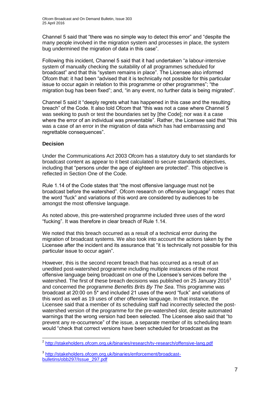Channel 5 said that "there was no simple way to detect this error" and "despite the many people involved in the migration system and processes in place, the system bug undermined the migration of data in this case".

Following this incident, Channel 5 said that it had undertaken "a labour-intensive system of manually checking the suitability of all programmes scheduled for broadcast" and that this "system remains in place". The Licensee also informed Ofcom that: it had been "advised that it is technically not possible for this particular issue to occur again in relation to this programme or other programmes"; "the migration bug has been fixed"; and, "in any event, no further data is being migrated".

Channel 5 said it "deeply regrets what has happened in this case and the resulting breach" of the Code. It also told Ofcom that "this was not a case where Channel 5 was seeking to push or test the boundaries set by [the Code]; nor was it a case where the error of an individual was preventable". Rather, the Licensee said that "this was a case of an error in the migration of data which has had embarrassing and regrettable consequences".

## **Decision**

Under the Communications Act 2003 Ofcom has a statutory duty to set standards for broadcast content as appear to it best calculated to secure standards objectives, including that "persons under the age of eighteen are protected". This objective is reflected in Section One of the Code.

Rule 1.14 of the Code states that "the most offensive language must not be broadcast before the watershed". Ofcom research on offensive language $2$  notes that the word "fuck" and variations of this word are considered by audiences to be amongst the most offensive language.

As noted above, this pre-watershed programme included three uses of the word "fucking". It was therefore in clear breach of Rule 1.14.

We noted that this breach occurred as a result of a technical error during the migration of broadcast systems. We also took into account the actions taken by the Licensee after the incident and its assurance that "it is technically not possible for this particular issue to occur again".

However, this is the second recent breach that has occurred as a result of an unedited post-watershed programme including multiple instances of the most offensive language being broadcast on one of the Licensee's services before the watershed. The first of these breach decisions was published on 25 January 2016<sup>3</sup> and concerned the programme *Benefits Brits By The Sea*. This programme was broadcast at 20:00 on 5\* and included 21 uses of the word "fuck" and variations of this word as well as 19 uses of other offensive language. In that instance, the Licensee said that a member of its scheduling staff had incorrectly selected the postwatershed version of the programme for the pre-watershed slot, despite automated warnings that the wrong version had been selected. The Licensee also said that "to prevent any re-occurrence" of the issue, a separate member of its scheduling team would "check that correct versions have been scheduled for broadcast as the

 2 <http://stakeholders.ofcom.org.uk/binaries/research/tv-research/offensive-lang.pdf>

<sup>3</sup> [http://stakeholders.ofcom.org.uk/binaries/enforcement/broadcast](http://stakeholders.ofcom.org.uk/binaries/enforcement/broadcast-bulletins/obb297/Issue_297.pdf)[bulletins/obb297/Issue\\_297.pdf](http://stakeholders.ofcom.org.uk/binaries/enforcement/broadcast-bulletins/obb297/Issue_297.pdf)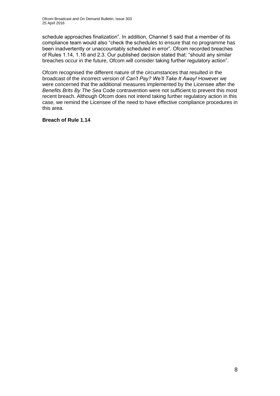schedule approaches finalization". In addition, Channel 5 said that a member of its compliance team would also "check the schedules to ensure that no programme has been inadvertently or unaccountably scheduled in error". Ofcom recorded breaches of Rules 1.14, 1.16 and 2.3. Our published decision stated that: "should any similar breaches occur in the future, Ofcom will consider taking further regulatory action".

Ofcom recognised the different nature of the circumstances that resulted in the broadcast of the incorrect version of *Can't Pay? We'll Take It Away!* However we were concerned that the additional measures implemented by the Licensee after the *Benefits Brits By The Sea* Code contravention were not sufficient to prevent this most recent breach. Although Ofcom does not intend taking further regulatory action in this case, we remind the Licensee of the need to have effective compliance procedures in this area.

## **Breach of Rule 1.14**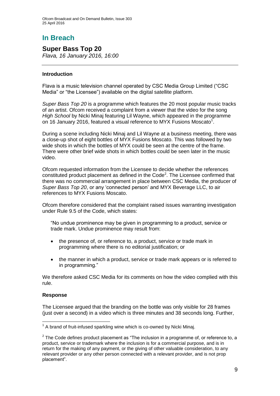## **In Breach**

## **Super Bass Top 20**

*Flava, 16 January 2016, 16:00*

## **Introduction**

Flava is a music television channel operated by CSC Media Group Limited ("CSC Media" or "the Licensee") available on the digital satellite platform.

*Super Bass Top 20* is a programme which features the 20 most popular music tracks of an artist. Ofcom received a complaint from a viewer that the video for the song *High School* by Nicki Minaj featuring Lil Wayne, which appeared in the programme on 16 January 2016, featured a visual reference to MYX Fusions Moscato<sup>1</sup>.

During a scene including Nicki Minaj and Lil Wayne at a business meeting, there was a close-up shot of eight bottles of MYX Fusions Moscato. This was followed by two wide shots in which the bottles of MYX could be seen at the centre of the frame. There were other brief wide shots in which bottles could be seen later in the music video.

Ofcom requested information from the Licensee to decide whether the references constituted product placement as defined in the Code<sup>2</sup>. The Licensee confirmed that there was no commercial arrangement in place between CSC Media, the producer of *Super Bass Top 20*, or any 'connected person' and MYX Beverage LLC, to air references to MYX Fusions Moscato.

Ofcom therefore considered that the complaint raised issues warranting investigation under Rule 9.5 of the Code, which states:

"No undue prominence may be given in programming to a product, service or trade mark. Undue prominence may result from:

- the presence of, or reference to, a product, service or trade mark in programming where there is no editorial justification; or
- the manner in which a product, service or trade mark appears or is referred to in programming."

We therefore asked CSC Media for its comments on how the video complied with this rule.

### **Response**

The Licensee argued that the branding on the bottle was only visible for 28 frames (just over a second) in a video which is three minutes and 38 seconds long. Further,

<sup>1</sup>  $1$  A brand of fruit-infused sparkling wine which is co-owned by Nicki Minaj.

 $2$  The Code defines product placement as "The inclusion in a programme of, or reference to, a product, service or trademark where the inclusion is for a commercial purpose, and is in return for the making of any payment, or the giving of other valuable consideration, to any relevant provider or any other person connected with a relevant provider, and is not prop placement".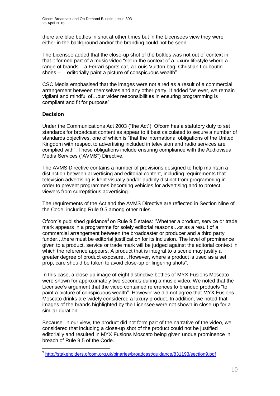there are blue bottles in shot at other times but in the Licensees view they were either in the background and/or the branding could not be seen.

The Licensee added that the close-up shot of the bottles was not out of context in that it formed part of a music video "set in the context of a luxury lifestyle where a range of brands – a Ferrari sports car, a Louis Vuitton bag, Christian Louboutin shoes – …editorially paint a picture of conspicuous wealth".

CSC Media emphasised that the images were not aired as a result of a commercial arrangement between themselves and any other party. It added "as ever, we remain vigilant and mindful of…our wider responsibilities in ensuring programming is compliant and fit for purpose".

## **Decision**

Under the Communications Act 2003 ("the Act"), Ofcom has a statutory duty to set standards for broadcast content as appear to it best calculated to secure a number of standards objectives, one of which is "that the international obligations of the United Kingdom with respect to advertising included in television and radio services are complied with". These obligations include ensuring compliance with the Audiovisual Media Services ("AVMS") Directive.

The AVMS Directive contains a number of provisions designed to help maintain a distinction between advertising and editorial content, including requirements that television advertising is kept visually and/or audibly distinct from programming in order to prevent programmes becoming vehicles for advertising and to protect viewers from surreptitious advertising.

The requirements of the Act and the AVMS Directive are reflected in Section Nine of the Code, including Rule 9.5 among other rules.

Ofcom's published guidance<sup>3</sup> on Rule 9.5 states: "Whether a product, service or trade mark appears in a programme for solely editorial reasons…or as a result of a commercial arrangement between the broadcaster or producer and a third party funder...there must be editorial justification for its inclusion. The level of prominence given to a product, service or trade mark will be judged against the editorial context in which the reference appears. A product that is integral to a scene may justify a greater degree of product exposure…However, where a product is used as a set prop, care should be taken to avoid close-up or lingering shots".

In this case, a close-up image of eight distinctive bottles of MYX Fusions Moscato were shown for approximately two seconds during a music video. We noted that the Licensee's argument that the video contained references to branded products "to paint a picture of conspicuous wealth". However we did not agree that MYX Fusions Moscato drinks are widely considered a luxury product. In addition, we noted that images of the brands highlighted by the Licensee were not shown in close-up for a similar duration.

Because, in our view, the product did not form part of the narrative of the video, we considered that including a close-up shot of the product could not be justified editorially and resulted in MYX Fusions Moscato being given undue prominence in breach of Rule 9.5 of the Code.

 3 <http://stakeholders.ofcom.org.uk/binaries/broadcast/guidance/831193/section9.pdf>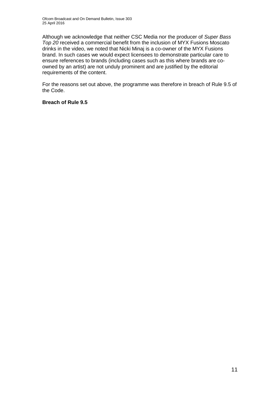Although we acknowledge that neither CSC Media nor the producer of *Super Bass Top 20* received a commercial benefit from the inclusion of MYX Fusions Moscato drinks in the video, we noted that Nicki Minaj is a co-owner of the MYX Fusions brand. In such cases we would expect licensees to demonstrate particular care to ensure references to brands (including cases such as this where brands are coowned by an artist) are not unduly prominent and are justified by the editorial requirements of the content.

For the reasons set out above, the programme was therefore in breach of Rule 9.5 of the Code.

## **Breach of Rule 9.5**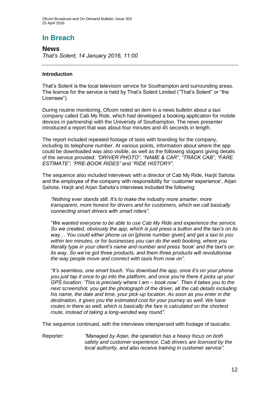## **In Breach**

**News** *That's Solent, 14 January 2016, 11:00*

## **Introduction**

That's Solent is the local television service for Southampton and surrounding areas. The licence for the service is held by That's Solent Limited ("That's Solent" or "the Licensee").

During routine monitoring, Ofcom noted an item in a news bulletin about a taxi company called Cab My Ride, which had developed a booking application for mobile devices in partnership with the University of Southampton. The news presenter introduced a report that was about four minutes and 45 seconds in length.

The report included repeated footage of taxis with branding for the company, including its telephone number. At various points, information about where the app could be downloaded was also visible, as well as the following slogans giving details of the service provided: *"DRIVER PHOTO"*, *"NAME & CAR"*, *"TRACK CAB"*, *"FARE ESTIMATE"*, *"PRE-BOOK RIDES"* and *"RIDE HISTORY"*.

The sequence also included interviews with a director of Cab My Ride, Harjit Sahota and the employee of the company with responsibility for 'customer experience', Arjan Sahota. Harjit and Arjan Sahota's interviews included the following:

*"Nothing ever stands still. It's to make the industry more smarter, more transparent, more honest for drivers and for customers, which we call basically connecting smart drivers with smart riders".*

*"We wanted everyone to be able to use Cab My Ride and experience the service. So we created, obviously the app, which is just press a button and the taxi's on its way… You could either phone us on* [phone number given] *and get a taxi to you within ten minutes, or for businesses you can do the web booking, where you literally type in your client's name and number and press 'book' and the taxi's on its way. So we've got three products, and them three products will revolutionise the way people move and connect with taxis from now on".*

*"It's seamless, one smart touch. You download the app, once it's on your phone you just tap it once to go into the platform, and once you're there it picks up your GPS location: 'This is precisely where I am – book now'. Then it takes you to the next screenshot, you get the photograph of the driver, all the cab details including his name, the date and time, your pick-up location. As soon as you enter in the destination, it gives you the estimated cost for your journey as well. We have routes in there as well, which is basically the fare is calculated on the shortest route, instead of taking a long-winded way round".*

The sequence continued, with the interviews interspersed with footage of taxicabs:

Reporter: *"Managed by Arjan, the operation has a heavy focus on both safety and customer experience. Cab drivers are licensed by the local authority, and also receive training in customer service".*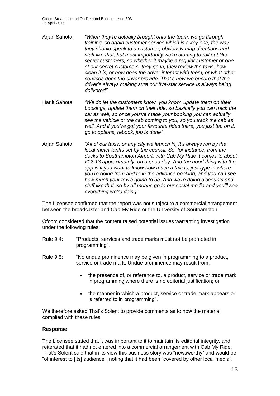- Arjan Sahota: *"When they're actually brought onto the team, we go through training, so again customer service which is a key one, the way they should speak to a customer, obviously map directions and stuff like that, but most importantly we're starting to roll out like secret customers, so whether it maybe a regular customer or one of our secret customers, they go in, they review the taxis, how clean it is, or how does the driver interact with them, or what other services does the driver provide. That's how we ensure that the driver's always making sure our five-star service is always being delivered".*
- Harjit Sahota: *"We do let the customers know, you know, update them on their bookings, update them on their ride, so basically you can track the car as well, so once you've made your booking you can actually see the vehicle or the cab coming to you, so you track the cab as well. And if you've got your favourite rides there, you just tap on it, go to options, rebook, job is done".*
- Arjan Sahota: *"All of our taxis, or any city we launch in, it's always run by the local meter tariffs set by the council. So, for instance, from the docks to Southampton Airport, with Cab My Ride it comes to about £12-13 approximately, on a good day. And the good thing with the app is if you want to know how much a taxi is, just type in where you're going from and to in the advance booking, and you can see how much your taxi's going to be. And we're doing discounts and stuff like that, so by all means go to our social media and you'll see everything we're doing".*

The Licensee confirmed that the report was not subject to a commercial arrangement between the broadcaster and Cab My Ride or the University of Southampton.

Ofcom considered that the content raised potential issues warranting investigation under the following rules:

- Rule 9.4: "Products, services and trade marks must not be promoted in programming".
- Rule 9.5: "No undue prominence may be given in programming to a product, service or trade mark. Undue prominence may result from:
	- the presence of, or reference to, a product, service or trade mark in programming where there is no editorial justification; or
	- the manner in which a product, service or trade mark appears or is referred to in programming".

We therefore asked That's Solent to provide comments as to how the material complied with these rules.

### **Response**

The Licensee stated that it was important to it to maintain its editorial integrity, and reiterated that it had not entered into a commercial arrangement with Cab My Ride. That's Solent said that in its view this business story was "newsworthy" and would be "of interest to [its] audience", noting that it had been "covered by other local media",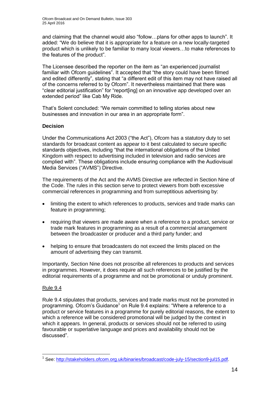and claiming that the channel would also "follow…plans for other apps to launch". It added: "We do believe that it is appropriate for a feature on a new locally-targeted product which is unlikely to be familiar to many local viewers…to make references to the features of the product".

The Licensee described the reporter on the item as "an experienced journalist familiar with Ofcom guidelines". It accepted that "the story could have been filmed and edited differently", stating that "a different edit of this item may not have raised all of the concerns referred to by Ofcom". It nevertheless maintained that there was "clear editorial justification" for "report[ing] on an innovative app developed over an extended period" like Cab My Ride.

That's Solent concluded: "We remain committed to telling stories about new businesses and innovation in our area in an appropriate form".

## **Decision**

Under the Communications Act 2003 ("the Act"), Ofcom has a statutory duty to set standards for broadcast content as appear to it best calculated to secure specific standards objectives, including "that the international obligations of the United Kingdom with respect to advertising included in television and radio services are complied with". These obligations include ensuring compliance with the Audiovisual Media Services ("AVMS") Directive.

The requirements of the Act and the AVMS Directive are reflected in Section Nine of the Code. The rules in this section serve to protect viewers from both excessive commercial references in programming and from surreptitious advertising by:

- limiting the extent to which references to products, services and trade marks can feature in programming;
- requiring that viewers are made aware when a reference to a product, service or trade mark features in programming as a result of a commercial arrangement between the broadcaster or producer and a third party funder; and
- helping to ensure that broadcasters do not exceed the limits placed on the amount of advertising they can transmit.

Importantly, Section Nine does not proscribe all references to products and services in programmes. However, it does require all such references to be justified by the editorial requirements of a programme and not be promotional or unduly prominent.

### Rule 9.4

Rule 9.4 stipulates that products, services and trade marks must not be promoted in programming. Ofcom's Guidance<sup>1</sup> on Rule 9.4 explains: "Where a reference to a product or service features in a programme for purely editorial reasons, the extent to which a reference will be considered promotional will be judged by the context in which it appears. In general, products or services should not be referred to using favourable or superlative language and prices and availability should not be discussed".

<sup>1</sup> <sup>1</sup> See: [http://stakeholders.ofcom.org.uk/binaries/broadcast/code-july-15/section9-jul15.pdf.](http://stakeholders.ofcom.org.uk/binaries/broadcast/code-july-15/section9-jul15.pdf)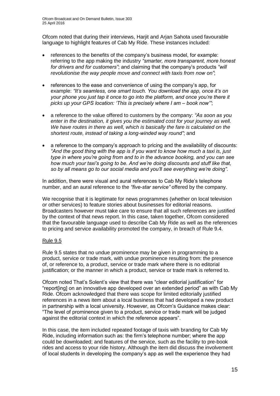Ofcom noted that during their interviews, Harjit and Arjan Sahota used favourable language to highlight features of Cab My Ride. These instances included:

- references to the benefits of the company's business model, for example: referring to the app making the industry *"smarter, more transparent, more honest for drivers and for customers"*; and claiming that the company's products *"will revolutionise the way people move and connect with taxis from now on"*;
- references to the ease and convenience of using the company's app, for example: *"It's seamless, one smart touch. You download the app, once it's on your phone you just tap it once to go into the platform, and once you're there it picks up your GPS location: 'This is precisely where I am – book now'"*;
- a reference to the value offered to customers by the company: *"As soon as you enter in the destination, it gives you the estimated cost for your journey as well. We have routes in there as well, which is basically the fare is calculated on the shortest route, instead of taking a long-winded way round"*; and
- a reference to the company's approach to pricing and the availability of discounts: *"And the good thing with the app is if you want to know how much a taxi is, just type in where you're going from and to in the advance booking, and you can see how much your taxi's going to be. And we're doing discounts and stuff like that, so by all means go to our social media and you'll see everything we're doing"*.

In addition, there were visual and aural references to Cab My Ride's telephone number, and an aural reference to the *"five-star service"* offered by the company.

We recognise that it is legitimate for news programmes (whether on local television or other services) to feature stories about businesses for editorial reasons. Broadcasters however must take care to ensure that all such references are justified by the context of that news report. In this case, taken together, Ofcom considered that the favourable language used to describe Cab My Ride as well as the references to pricing and service availability promoted the company, in breach of Rule 9.4.

## Rule 9.5

Rule 9.5 states that no undue prominence may be given in programming to a product, service or trade mark, with undue prominence resulting from: the presence of, or reference to, a product, service or trade mark where there is no editorial justification; or the manner in which a product, service or trade mark is referred to.

Ofcom noted That's Solent's view that there was "clear editorial justification" for "report[ing] on an innovative app developed over an extended period" as with Cab My Ride. Ofcom acknowledged that there was scope for limited editorially justified references in a news item about a local business that had developed a new product in partnership with a local university. However, as Ofcom's Guidance makes clear: "The level of prominence given to a product, service or trade mark will be judged against the editorial context in which the reference appears".

In this case, the item included repeated footage of taxis with branding for Cab My Ride, including information such as: the firm's telephone number; where the app could be downloaded; and features of the service, such as the facility to pre-book rides and access to your ride history. Although the item did discuss the involvement of local students in developing the company's app as well the experience they had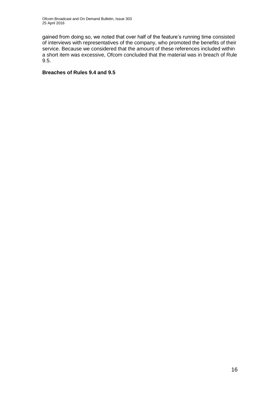gained from doing so, we noted that over half of the feature's running time consisted of interviews with representatives of the company, who promoted the benefits of their service. Because we considered that the amount of these references included within a short item was excessive, Ofcom concluded that the material was in breach of Rule 9.5.

## **Breaches of Rules 9.4 and 9.5**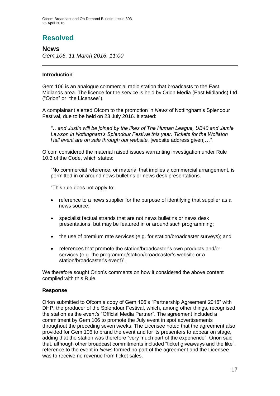## **Resolved**

## **News**

*Gem 106, 11 March 2016, 11:00*

## **Introduction**

Gem 106 is an analogue commercial radio station that broadcasts to the East Midlands area. The licence for the service is held by Orion Media (East Midlands) Ltd ("Orion" or "the Licensee").

A complainant alerted Ofcom to the promotion in *News* of Nottingham's Splendour Festival, due to be held on 23 July 2016. It stated:

*"…and Justin will be joined by the likes of The Human League, UB40 and Jamie Lawson in Nottingham's Splendour Festival this year. Tickets for the Wollaton Hall event are on sale through our website,* [website address given]*…".*

Ofcom considered the material raised issues warranting investigation under Rule 10.3 of the Code, which states:

"No commercial reference, or material that implies a commercial arrangement, is permitted in or around news bulletins or news desk presentations.

"This rule does not apply to:

- reference to a news supplier for the purpose of identifying that supplier as a news source;
- specialist factual strands that are not news bulletins or news desk presentations, but may be featured in or around such programming;
- the use of premium rate services (e.g. for station/broadcaster surveys); and
- references that promote the station/broadcaster's own products and/or services (e.g. the programme/station/broadcaster's website or a station/broadcaster's event)".

We therefore sought Orion's comments on how it considered the above content complied with this Rule.

### **Response**

Orion submitted to Ofcom a copy of Gem 106's "Partnership Agreement 2016" with DHP, the producer of the Splendour Festival, which, among other things, recognised the station as the event's "Official Media Partner". The agreement included a commitment by Gem 106 to promote the July event in spot advertisements throughout the preceding seven weeks. The Licensee noted that the agreement also provided for Gem 106 to brand the event and for its presenters to appear on stage, adding that the station was therefore "very much part of the experience". Orion said that, although other broadcast commitments included "ticket giveaways and the like", reference to the event in *News* formed no part of the agreement and the Licensee was to receive no revenue from ticket sales.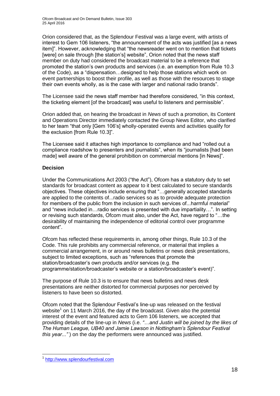Orion considered that, as the Splendour Festival was a large event, with artists of interest to Gem 106 listeners, "the announcement of the acts was justified [as a news item]". However, acknowledging that "the newsreader went on to mention that tickets [were] on sale through [the station's] website", Orion noted that the news staff member on duty had considered the broadcast material to be a reference that promoted the station's own products and services (i.e. an exemption from Rule 10.3 of the Code), as a "dispensation…designed to help those stations which work on event partnerships to boost their profile, as well as those with the resources to stage their own events wholly, as is the case with larger and national radio brands".

The Licensee said the news staff member had therefore considered, "in this context, the ticketing element [of the broadcast] was useful to listeners and permissible".

Orion added that, on hearing the broadcast in *News* of such a promotion, its Content and Operations Director immediately contacted the Group News Editor, who clarified to her team "that only [Gem 106's] wholly-operated events and activities qualify for the exclusion [from Rule 10.3]".

The Licensee said it attaches high importance to compliance and had "rolled out a compliance roadshow to presenters and journalists", when its "journalists [had been made] well aware of the general prohibition on commercial mentions [in News]".

## **Decision**

Under the Communications Act 2003 ("the Act"), Ofcom has a statutory duty to set standards for broadcast content as appear to it best calculated to secure standards objectives. These objectives include ensuring that "…generally accepted standards are applied to the contents of...radio services so as to provide adequate protection for members of the public from the inclusion in such services of...harmful material" and "news included in…radio services is presented with due impartiality…". In setting or revising such standards, Ofcom must also, under the Act, have regard to "…the desirability of maintaining the independence of editorial control over programme content".

Ofcom has reflected these requirements in, among other things, Rule 10.3 of the Code. This rule prohibits any commercial reference, or material that implies a commercial arrangement, in or around news bulletins or news desk presentations, subject to limited exceptions, such as "references that promote the station/broadcaster's own products and/or services (e.g. the programme/station/broadcaster's website or a station/broadcaster's event)".

The purpose of Rule 10.3 is to ensure that news bulletins and news desk presentations are neither distorted for commercial purposes nor perceived by listeners to have been so distorted.

Ofcom noted that the Splendour Festival's line-up was released on the festival website<sup>1</sup> on 11 March 2016, the day of the broadcast. Given also the potential interest of the event and featured acts to Gem 106 listeners, we accepted that providing details of the line-up in *News* (i.e. *"…and Justin will be joined by the likes of The Human League, UB40 and Jamie Lawson in Nottingham's Splendour Festival this year..."* ) on the day the performers were announced was justified.

<sup>1</sup> 1 [http://www.splendourfestival.com](http://www.splendourfestival.com/)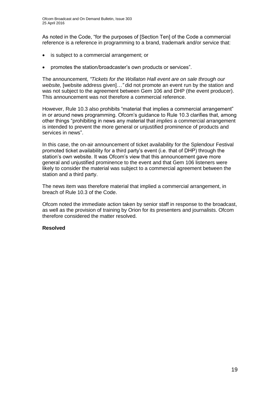As noted in the Code, "for the purposes of [Section Ten] of the Code a commercial reference is a reference in programming to a brand, trademark and/or service that:

- is subject to a commercial arrangement; or
- promotes the station/broadcaster's own products or services".

The announcement, *"Tickets for the Wollaton Hall event are on sale through our*  website, [website address given]..." did not promote an event run by the station and was not subject to the agreement between Gem 106 and DHP (the event producer). This announcement was not therefore a commercial reference.

However, Rule 10.3 also prohibits "material that implies a commercial arrangement" in or around news programming. Ofcom's guidance to Rule 10.3 clarifies that, among other things "prohibiting in news any material that *implies* a commercial arrangement is intended to prevent the more general or unjustified prominence of products and services in news".

In this case, the on-air announcement of ticket availability for the Splendour Festival promoted ticket availability for a third party's event (i.e. that of DHP) through the station's own website. It was Ofcom's view that this announcement gave more general and unjustified prominence to the event and that Gem 106 listeners were likely to consider the material was subject to a commercial agreement between the station and a third party.

The news item was therefore material that implied a commercial arrangement, in breach of Rule 10.3 of the Code.

Ofcom noted the immediate action taken by senior staff in response to the broadcast, as well as the provision of training by Orion for its presenters and journalists. Ofcom therefore considered the matter resolved.

### **Resolved**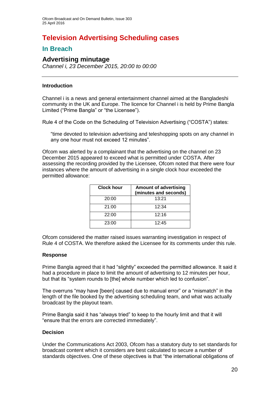## **Television Advertising Scheduling cases**

## **In Breach**

## **Advertising minutage**

*Channel i, 23 December 2015, 20:00 to 00:00* 

## **Introduction**

Channel i is a news and general entertainment channel aimed at the Bangladeshi community in the UK and Europe. The licence for Channel i is held by Prime Bangla Limited ("Prime Bangla" or "the Licensee").

Rule 4 of the Code on the Scheduling of Television Advertising ("COSTA") states:

"time devoted to television advertising and teleshopping spots on any channel in any one hour must not exceed 12 minutes".

Ofcom was alerted by a complainant that the advertising on the channel on 23 December 2015 appeared to exceed what is permitted under COSTA. After assessing the recording provided by the Licensee, Ofcom noted that there were four instances where the amount of advertising in a single clock hour exceeded the permitted allowance:

| Clock hour | <b>Amount of advertising</b><br>(minutes and seconds) |
|------------|-------------------------------------------------------|
| 20:00      | 13:21                                                 |
| 21:00      | 12:34                                                 |
| 22:00      | 12:16                                                 |
| 23:00      | 12:45                                                 |

Ofcom considered the matter raised issues warranting investigation in respect of Rule 4 of COSTA. We therefore asked the Licensee for its comments under this rule.

### **Response**

Prime Bangla agreed that it had "slightly" exceeded the permitted allowance. It said it had a procedure in place to limit the amount of advertising to 12 minutes per hour, but that its "system rounds to [the] whole number which led to confusion".

The overruns "may have [been] caused due to manual error" or a "mismatch" in the length of the file booked by the advertising scheduling team, and what was actually broadcast by the playout team.

Prime Bangla said it has "always tried" to keep to the hourly limit and that it will "ensure that the errors are corrected immediately".

## **Decision**

Under the Communications Act 2003, Ofcom has a statutory duty to set standards for broadcast content which it considers are best calculated to secure a number of standards objectives. One of these objectives is that "the international obligations of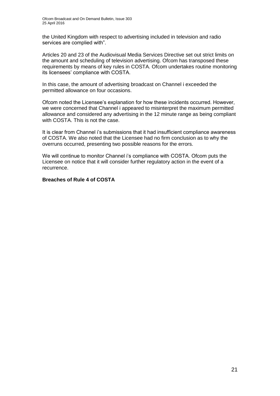the United Kingdom with respect to advertising included in television and radio services are complied with".

Articles 20 and 23 of the Audiovisual Media Services Directive set out strict limits on the amount and scheduling of television advertising. Ofcom has transposed these requirements by means of key rules in COSTA. Ofcom undertakes routine monitoring its licensees' compliance with COSTA.

In this case, the amount of advertising broadcast on Channel i exceeded the permitted allowance on four occasions.

Ofcom noted the Licensee's explanation for how these incidents occurred. However, we were concerned that Channel i appeared to misinterpret the maximum permitted allowance and considered any advertising in the 12 minute range as being compliant with COSTA. This is not the case.

It is clear from Channel i's submissions that it had insufficient compliance awareness of COSTA. We also noted that the Licensee had no firm conclusion as to why the overruns occurred, presenting two possible reasons for the errors.

We will continue to monitor Channel i's compliance with COSTA. Ofcom puts the Licensee on notice that it will consider further regulatory action in the event of a recurrence.

### **Breaches of Rule 4 of COSTA**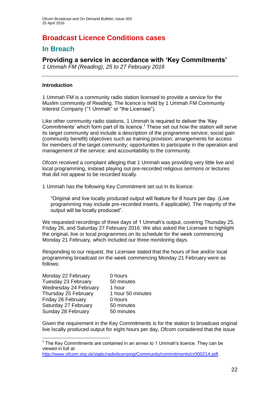## **Broadcast Licence Conditions cases**

## **In Breach**

## **Providing a service in accordance with 'Key Commitments'**

*1 Ummah FM (Reading), 25 to 27 February 2016*

## **Introduction**

1 Ummah FM is a community radio station licensed to provide a service for the Muslim community of Reading. The licence is held by 1 Ummah FM Community Interest Company ("1 Ummah" or "the Licensee").

Like other community radio stations, 1 Ummah is required to deliver the 'Key Commitments' which form part of its licence.<sup>1</sup> These set out how the station will serve its target community and include a description of the programme service; social gain (community benefit) objectives such as training provision; arrangements for access for members of the target community; opportunities to participate in the operation and management of the service; and accountability to the community.

Ofcom received a complaint alleging that 1 Ummah was providing very little live and local programming, instead playing out pre-recorded religious sermons or lectures that did not appear to be recorded locally.

1 Ummah has the following Key Commitment set out in its licence:

"Original and live locally produced output will feature for 8 hours per day. (Live programming may include pre-recorded inserts, if applicable). The majority of the output will be locally produced".

We requested recordings of three days of 1 Ummah's output, covering Thursday 25, Friday 26, and Saturday 27 February 2016. We also asked the Licensee to highlight the original, live or local programmes on its schedule for the week commencing Monday 21 February, which included our three monitoring days.

Responding to our request, the Licensee stated that the hours of live and/or local programming broadcast on the week commencing Monday 21 February were as follows:

| Monday 22 February    | 0 hours           |
|-----------------------|-------------------|
| Tuesday 23 February   | 50 minutes        |
| Wednesday 24 February | 1 hour            |
| Thursday 25 February  | 1 hour 50 minutes |
| Friday 26 February    | 0 hours           |
| Saturday 27 February  | 50 minutes        |
| Sunday 28 February    | 50 minutes        |

1

Given the requirement in the Key Commitments is for the station to broadcast original live locally produced output for eight hours per day, Ofcom considered that the issue

 $<sup>1</sup>$  The Key Commitments are contained in an annex to 1 Ummah's licence. They can be</sup> viewed in full at:

[http://www.ofcom.org.uk/static/radiolicensing/Community/commitments/cr000214.pdf.](http://www.ofcom.org.uk/static/radiolicensing/Community/commitments/cr000214.pdf)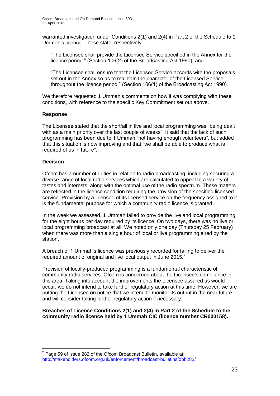warranted investigation under Conditions 2(1) and 2(4) in Part 2 of the Schedule to 1 Ummah's licence. These state, respectively:

"The Licensee shall provide the Licensed Service specified in the Annex for the licence period." (Section 106(2) of the Broadcasting Act 1990); and

"The Licensee shall ensure that the Licensed Service accords with the proposals set out in the Annex so as to maintain the character of the Licensed Service throughout the licence period." (Section 106(1) of the Broadcasting Act 1990).

We therefore requested 1 Ummah's comments on how it was complying with these conditions, with reference to the specific Key Commitment set out above.

## **Response**

The Licensee stated that the shortfall in live and local programming was "being dealt with as a main priority over the last couple of weeks". It said that the lack of such programming has been due to 1 Ummah "not having enough volunteers", but added that this situation is now improving and that "we shall be able to produce what is required of us in future".

## **Decision**

1

Ofcom has a number of duties in relation to radio broadcasting, including securing a diverse range of local radio services which are calculated to appeal to a variety of tastes and interests, along with the optimal use of the radio spectrum. These matters are reflected in the licence condition requiring the provision of the specified licensed service. Provision by a licensee of its licensed service on the frequency assigned to it is the fundamental purpose for which a community radio licence is granted.

In the week we assessed, 1 Ummah failed to provide the live and local programming for the eight hours per day required by its licence. On two days, there was no live or local programming broadcast at all. We noted only one day (Thursday 25 February) when there was more than a single hour of local or live programming aired by the station.

A breach of 1 Ummah's licence was previously recorded for failing to deliver the required amount of original and live local output in June 2015.<sup>2</sup>

Provision of locally-produced programming is a fundamental characteristic of community radio services. Ofcom is concerned about the Licensee's compliance in this area. Taking into account the improvements the Licensee assured us would occur, we do not intend to take further regulatory action at this time. However, we are putting the Licensee on notice that we intend to monitor its output in the near future and will consider taking further regulatory action if necessary.

### **Breaches of Licence Conditions 2(1) and 2(4) in Part 2 of the Schedule to the community radio licence held by 1 Ummah CIC (licence number CR000158).**

 $2$  Page 59 of issue 282 of the Ofcom Broadcast Bulletin, available at: <http://stakeholders.ofcom.org.uk/enforcement/broadcast-bulletins/obb282/>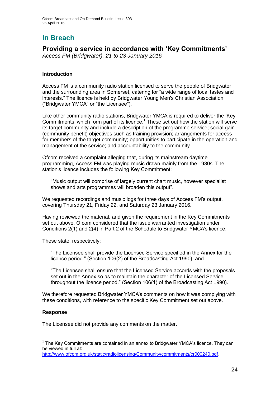## **In Breach**

## **Providing a service in accordance with 'Key Commitments'**

*Access FM (Bridgwater), 21 to 23 January 2016*

## **Introduction**

Access FM is a community radio station licensed to serve the people of Bridgwater and the surrounding area in Somerset, catering for "a wide range of local tastes and interests." The licence is held by Bridgwater Young Men's Christian Association ("Bridgwater YMCA" or "the Licensee").

Like other community radio stations, Bridgwater YMCA is required to deliver the 'Key Commitments' which form part of its licence.<sup>1</sup> These set out how the station will serve its target community and include a description of the programme service; social gain (community benefit) objectives such as training provision; arrangements for access for members of the target community; opportunities to participate in the operation and management of the service; and accountability to the community.

Ofcom received a complaint alleging that, during its mainstream daytime programming, Access FM was playing music drawn mainly from the 1980s. The station's licence includes the following Key Commitment:

"Music output will comprise of largely current chart music, however specialist shows and arts programmes will broaden this output".

We requested recordings and music logs for three days of Access FM's output, covering Thursday 21, Friday 22, and Saturday 23 January 2016.

Having reviewed the material, and given the requirement in the Key Commitments set out above, Ofcom considered that the issue warranted investigation under Conditions 2(1) and 2(4) in Part 2 of the Schedule to Bridgwater YMCA's licence.

These state, respectively:

"The Licensee shall provide the Licensed Service specified in the Annex for the licence period." (Section 106(2) of the Broadcasting Act 1990); and

"The Licensee shall ensure that the Licensed Service accords with the proposals set out in the Annex so as to maintain the character of the Licensed Service throughout the licence period." (Section 106(1) of the Broadcasting Act 1990).

We therefore requested Bridgwater YMCA's comments on how it was complying with these conditions, with reference to the specific Key Commitment set out above.

## **Response**

The Licensee did not provide any comments on the matter.

<sup>1</sup>  $1$  The Key Commitments are contained in an annex to Bridgwater YMCA's licence. They can be viewed in full at:

[http://www.ofcom.org.uk/static/radiolicensing/Community/commitments/cr000240.pdf.](http://www.ofcom.org.uk/static/radiolicensing/Community/commitments/cr000240.pdf)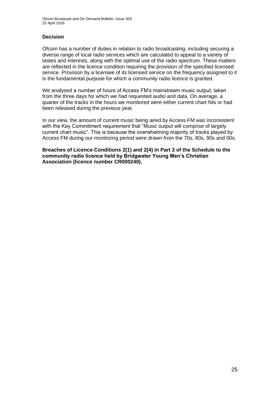## **Decision**

Ofcom has a number of duties in relation to radio broadcasting, including securing a diverse range of local radio services which are calculated to appeal to a variety of tastes and interests, along with the optimal use of the radio spectrum. These matters are reflected in the licence condition requiring the provision of the specified licensed service. Provision by a licensee of its licensed service on the frequency assigned to it is the fundamental purpose for which a community radio licence is granted.

We analysed a number of hours of Access FM's mainstream music output, taken from the three days for which we had requested audio and data. On average, a quarter of the tracks in the hours we monitored were either current chart hits or had been released during the previous year.

In our view, the amount of current music being aired by Access FM was inconsistent with the Key Commitment requirement that "Music output will comprise of largely current chart music". This is because the overwhelming majority of tracks played by Access FM during our monitoring period were drawn from the 70s, 80s, 90s and 00s.

**Breaches of Licence Conditions 2(1) and 2(4) in Part 2 of the Schedule to the community radio licence held by Bridgwater Young Men's Christian Association (licence number CR000240).**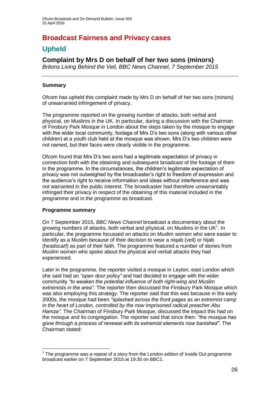## **Broadcast Fairness and Privacy cases**

## **Upheld**

## **Complaint by Mrs D on behalf of her two sons (minors)**

*Britons Living Behind the Veil, BBC News Channel, 7 September 2015*

## **Summary**

Ofcom has upheld this complaint made by Mrs D on behalf of her two sons (minors) of unwarranted infringement of privacy.

The programme reported on the growing number of attacks, both verbal and physical, on Muslims in the UK. In particular, during a discussion with the Chairman of Finsbury Park Mosque in London about the steps taken by the mosque to engage with the wider local community, footage of Mrs D's two sons (along with various other children) at a youth club held at the mosque was shown. Mrs D's two children were not named, but their faces were clearly visible in the programme.

Ofcom found that Mrs D's two sons had a legitimate expectation of privacy in connection both with the obtaining and subsequent broadcast of the footage of them in the programme. In the circumstances, the children's legitimate expectation of privacy was not outweighed by the broadcaster's right to freedom of expression and the audience's right to receive information and ideas without interference and was not warranted in the public interest. The broadcaster had therefore unwarrantably infringed their privacy in respect of the obtaining of this material included in the programme and in the programme as broadcast.

## **Programme summary**

1

On 7 September 2015, *BBC News Channel* broadcast a documentary about the growing numbers of attacks, both verbal and physical, on Muslims in the UK $<sup>1</sup>$ . In</sup> particular, the programme focussed on attacks on Muslim women who were easier to identify as a Muslim because of their decision to wear a niqab (veil) or hijab (headscarf) as part of their faith. The programme featured a number of stories from Muslim women who spoke about the physical and verbal attacks they had experienced.

Later in the programme, the reporter visited a mosque in Leyton, east London which she said had an *"open door policy"* and had decided to engage with the wider community *"to weaken the potential influence of both right-wing and Muslim extremists in the area".* The reporter then discussed the Finsbury Park Mosque which was also employing this strategy. The reporter said that this was because in the early 2000s, the mosque had been *"splashed across the front pages as an extremist camp in the heart of London, controlled by the now imprisoned radical preacher Abu Hamza".* The Chairman of Finsbury Park Mosque, discussed the impact this had on the mosque and its congregation. The reporter said that since then: *"the mosque has gone through a process of renewal with its extremist elements now banished"*. The Chairman stated:

 $1$  The programme was a repeat of a story from the London edition of Inside Out programme broadcast earlier on 7 September 2015 at 19:30 on BBC1.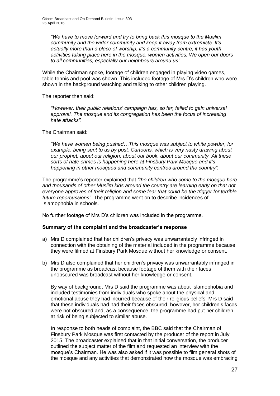*"We have to move forward and try to bring back this mosque to the Muslim community and the wider community and keep it away from extremists. It's actually more than a place of worship, it's a community centre, it has youth activities taking place here in the mosque, women activities. We open our doors to all communities, especially our neighbours around us".*

While the Chairman spoke, footage of children engaged in playing video games, table tennis and pool was shown. This included footage of Mrs D's children who were shown in the background watching and talking to other children playing.

The reporter then said:

*"However, their public relations' campaign has, so far, failed to gain universal approval. The mosque and its congregation has been the focus of increasing hate attacks".*

The Chairman said:

*"We have women being pushed…This mosque was subject to white powder, for example, being sent to us by post. Cartoons, which is very nasty drawing about our prophet, about our religion, about our book, about our community. All these sorts of hate crimes is happening here at Finsbury Park Mosque and it's happening in other mosques and community centres around the country".*

The programme's reporter explained that *"the children who come to the mosque here and thousands of other Muslim kids around the country are learning early on that not everyone approves of their religion and some fear that could be the trigger for terrible future repercussions".* The programme went on to describe incidences of Islamophobia in schools.

No further footage of Mrs D's children was included in the programme.

### **Summary of the complaint and the broadcaster's response**

- a) Mrs D complained that her children's privacy was unwarrantably infringed in connection with the obtaining of the material included in the programme because they were filmed at Finsbury Park Mosque without her knowledge or consent.
- b) Mrs D also complained that her children's privacy was unwarrantably infringed in the programme as broadcast because footage of them with their faces unobscured was broadcast without her knowledge or consent.

By way of background, Mrs D said the programme was about Islamophobia and included testimonies from individuals who spoke about the physical and emotional abuse they had incurred because of their religious beliefs. Mrs D said that these individuals had had their faces obscured, however, her children's faces were not obscured and, as a consequence, the programme had put her children at risk of being subjected to similar abuse.

In response to both heads of complaint, the BBC said that the Chairman of Finsbury Park Mosque was first contacted by the producer of the report in July 2015. The broadcaster explained that in that initial conversation, the producer outlined the subject matter of the film and requested an interview with the mosque's Chairman. He was also asked if it was possible to film general shots of the mosque and any activities that demonstrated how the mosque was embracing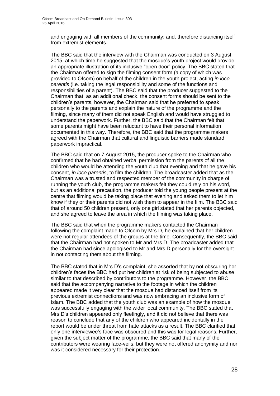and engaging with all members of the community; and, therefore distancing itself from extremist elements.

The BBC said that the interview with the Chairman was conducted on 3 August 2015, at which time he suggested that the mosque's youth project would provide an appropriate illustration of its inclusive "open door" policy. The BBC stated that the Chairman offered to sign the filming consent form (a copy of which was provided to Ofcom) on behalf of the children in the youth project, acting *in loco parentis* (i.e. taking the legal responsibility and some of the functions and responsibilities of a parent). The BBC said that the producer suggested to the Chairman that, as an additional check, the consent forms should be sent to the children's parents, however, the Chairman said that he preferred to speak personally to the parents and explain the nature of the programme and the filming, since many of them did not speak English and would have struggled to understand the paperwork. Further, the BBC said that the Chairman felt that some parents might have been reluctant to have their personal information documented in this way. Therefore, the BBC said that the programme makers agreed with the Chairman that cultural and linguistic barriers made standard paperwork impractical.

The BBC said that on 7 August 2015, the producer spoke to the Chairman who confirmed that he had obtained verbal permission from the parents of all the children who would be attending the youth club that evening and that he gave his consent, *in loco parentis*, to film the children. The broadcaster added that as the Chairman was a trusted and respected member of the community in charge of running the youth club, the programme makers felt they could rely on his word, but as an additional precaution, the producer told the young people present at the centre that filming would be taking place that evening and asked them to let him know if they or their parents did not wish them to appear in the film. The BBC said that of around 50 children present, only one girl stated that her parents objected, and she agreed to leave the area in which the filming was taking place.

The BBC said that when the programme makers contacted the Chairman following the complaint made to Ofcom by Mrs D, he explained that her children were not regular attendees of the groups at the time. Consequently, the BBC said that the Chairman had not spoken to Mr and Mrs D. The broadcaster added that the Chairman had since apologised to Mr and Mrs D personally for the oversight in not contacting them about the filming.

The BBC stated that in Mrs D's complaint, she asserted that by not obscuring her children's faces the BBC had put her children at risk of being subjected to abuse similar to that described by contributors to the programme. However, the BBC said that the accompanying narrative to the footage in which the children appeared made it very clear that the mosque had distanced itself from its previous extremist connections and was now embracing an inclusive form of Islam. The BBC added that the youth club was an example of how the mosque was successfully engaging with the wider local community. The BBC stated that Mrs D's children appeared only fleetingly, and it did not believe that there was reason to conclude that any of the children who appeared incidentally in the report would be under threat from hate attacks as a result. The BBC clarified that only one interviewee's face was obscured and this was for legal reasons. Further, given the subject matter of the programme, the BBC said that many of the contributors were wearing face-veils, but they were not offered anonymity and nor was it considered necessary for their protection.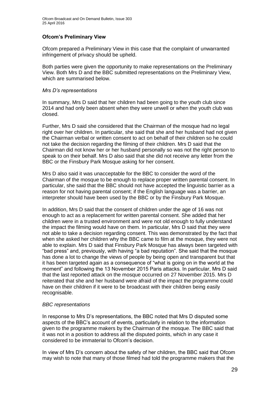## **Ofcom's Preliminary View**

Ofcom prepared a Preliminary View in this case that the complaint of unwarranted infringement of privacy should be upheld.

Both parties were given the opportunity to make representations on the Preliminary View. Both Mrs D and the BBC submitted representations on the Preliminary View, which are summarised below.

#### *Mrs D's representations*

In summary, Mrs D said that her children had been going to the youth club since 2014 and had only been absent when they were unwell or when the youth club was closed.

Further, Mrs D said she considered that the Chairman of the mosque had no legal right over her children. In particular, she said that she and her husband had not given the Chairman verbal or written consent to act on behalf of their children so he could not take the decision regarding the filming of their children. Mrs D said that the Chairman did not know her or her husband personally so was not the right person to speak to on their behalf. Mrs D also said that she did not receive any letter from the BBC or the Finsbury Park Mosque asking for her consent.

Mrs D also said it was unacceptable for the BBC to consider the word of the Chairman of the mosque to be enough to replace proper written parental consent. In particular, she said that the BBC should not have accepted the linguistic barrier as a reason for not having parental consent; if the English language was a barrier, an interpreter should have been used by the BBC or by the Finsbury Park Mosque.

In addition, Mrs D said that the consent of children under the age of 16 was not enough to act as a replacement for written parental consent. She added that her children were in a trusted environment and were not old enough to fully understand the impact the filming would have on them. In particular, Mrs D said that they were not able to take a decision regarding consent. This was demonstrated by the fact that when she asked her children why the BBC came to film at the mosque, they were not able to explain. Mrs D said that Finsbury Park Mosque has always been targeted with "bad press" and, previously, with having "a bad reputation". She said that the mosque has done a lot to change the views of people by being open and transparent but that it has been targeted again as a consequence of "what is going on in the world at the moment" and following the 13 November 2015 Paris attacks. In particular, Mrs D said that the last reported attack on the mosque occurred on 27 November 2015. Mrs D reiterated that she and her husband were afraid of the impact the programme could have on their children if it were to be broadcast with their children being easily recognisable.

### *BBC representations*

In response to Mrs D's representations, the BBC noted that Mrs D disputed some aspects of the BBC's account of events, particularly in relation to the information given to the programme makers by the Chairman of the mosque. The BBC said that it was not in a position to address all the disputed points, which in any case it considered to be immaterial to Ofcom's decision.

In view of Mrs D's concern about the safety of her children, the BBC said that Ofcom may wish to note that many of those filmed had told the programme makers that the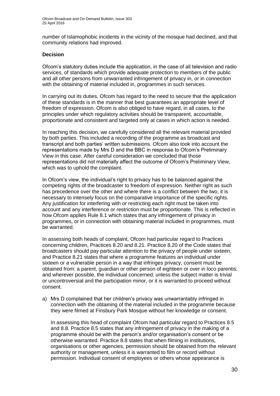number of Islamophobic incidents in the vicinity of the mosque had declined, and that community relations had improved.

### **Decision**

Ofcom's statutory duties include the application, in the case of all television and radio services, of standards which provide adequate protection to members of the public and all other persons from unwarranted infringement of privacy in, or in connection with the obtaining of material included in, programmes in such services.

In carrying out its duties, Ofcom has regard to the need to secure that the application of these standards is in the manner that best guarantees an appropriate level of freedom of expression. Ofcom is also obliged to have regard, in all cases, to the principles under which regulatory activities should be transparent, accountable, proportionate and consistent and targeted only at cases in which action is needed.

In reaching this decision, we carefully considered all the relevant material provided by both parties. This included a recording of the programme as broadcast and transcript and both parties' written submissions. Ofcom also took into account the representations made by Mrs D and the BBC in response to Ofcom's Preliminary View in this case. After careful consideration we concluded that those representations did not materially affect the outcome of Ofcom's Preliminary View, which was to uphold the complaint.

In Ofcom's view, the individual's right to privacy has to be balanced against the competing rights of the broadcaster to freedom of expression. Neither right as such has precedence over the other and where there is a conflict between the two, it is necessary to intensely focus on the comparative importance of the specific rights. Any justification for interfering with or restricting each right must be taken into account and any interference or restriction must be proportionate. This is reflected in how Ofcom applies Rule 8.1 which states that any infringement of privacy in programmes, or in connection with obtaining material included in programmes, must be warranted.

In assessing both heads of complaint, Ofcom had particular regard to Practices concerning children, Practices 8.20 and 8.21. Practice 8.20 of the Code states that broadcasters should pay particular attention to the privacy of people under sixteen, and Practice 8.21 states that where a programme features an individual under sixteen or a vulnerable person in a way that infringes privacy, consent must be obtained from: a parent, guardian or other person of eighteen or over in loco parentis; and wherever possible, the individual concerned; unless the subject matter is trivial or uncontroversial and the participation minor, or it is warranted to proceed without consent.

a) Mrs D complained that her children's privacy was unwarrantably infringed in connection with the obtaining of the material included in the programme because they were filmed at Finsbury Park Mosque without her knowledge or consent.

In assessing this head of complaint Ofcom had particular regard to Practices 8.5 and 8.8. Practice 8.5 states that any infringement of privacy in the making of a programme should be with the person's and/or organisation's consent or be otherwise warranted. Practice 8.8 states that when filming in institutions, organisations or other agencies, permission should be obtained from the relevant authority or management, unless it is warranted to film or record without permission. Individual consent of employees or others whose appearance is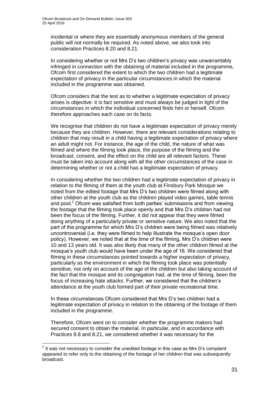incidental or where they are essentially anonymous members of the general public will not normally be required. As noted above, we also took into consideration Practices 8.20 and 8.21.

In considering whether or not Mrs D's two children's privacy was unwarrantably infringed in connection with the obtaining of material included in the programme, Ofcom first considered the extent to which the two children had a legitimate expectation of privacy in the particular circumstances in which the material included in the programme was obtained.

Ofcom considers that the test as to whether a legitimate expectation of privacy arises is objective: it is fact sensitive and must always be judged in light of the circumstances in which the individual concerned finds him or herself. Ofcom therefore approaches each case on its facts.

We recognise that children do not have a legitimate expectation of privacy merely because they are children. However, there are relevant considerations relating to children that may result in a child having a legitimate expectation of privacy where an adult might not. For instance, the age of the child, the nature of what was filmed and where the filming took place, the purpose of the filming and the broadcast, consent, and the effect on the child are all relevant factors. These must be taken into account along with all the other circumstances of the case in determining whether or not a child has a legitimate expectation of privacy.

In considering whether the two children had a legitimate expectation of privacy in relation to the filming of them at the youth club at Finsbury Park Mosque we noted from the edited footage that Mrs D's two children were filmed along with other children at the youth club as the children played video games, table tennis and pool.<sup>2</sup> Ofcom was satisfied from both parties' submissions and from viewing the footage that the filming took place openly and that Mrs D's children had not been the focus of the filming. Further, it did not appear that they were filmed doing anything of a particularly private or sensitive nature. We also noted that the part of the programme for which Mrs D's children were being filmed was relatively uncontroversial (i.e. they were filmed to help illustrate the mosque's open door policy). However, we noted that at the time of the filming, Mrs D's children were 10 and 13 years old. It was also likely that many of the other children filmed at the mosque's youth club would have been under the age of 16. We considered that filming in these circumstances pointed towards a higher expectation of privacy, particularly as the environment in which the filming took place was potentially sensitive, not only on account of the age of the children but also taking account of the fact that the mosque and its congregation had, at the time of filming, been the focus of increasing hate attacks. Further, we considered that the children's attendance at the youth club formed part of their private recreational time.

In these circumstances Ofcom considered that Mrs D's two children had a legitimate expectation of privacy in relation to the obtaining of the footage of them included in the programme.

Therefore, Ofcom went on to consider whether the programme makers had secured consent to obtain the material. In particular, and in accordance with Practices 8.8 and 8.21, we considered whether it was necessary for the

1

 $2$  It was not necessary to consider the unedited footage in this case as Mrs D's complaint appeared to refer only to the obtaining of the footage of her children that was subsequently broadcast.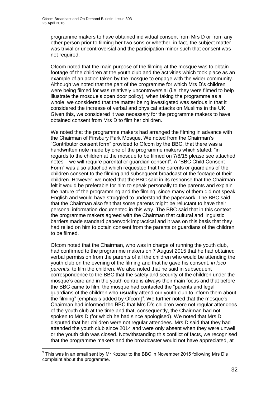programme makers to have obtained individual consent from Mrs D or from any other person prior to filming her two sons or whether, in fact, the subject matter was trivial or uncontroversial and the participation minor such that consent was not required.

Ofcom noted that the main purpose of the filming at the mosque was to obtain footage of the children at the youth club and the activities which took place as an example of an action taken by the mosque to engage with the wider community. Although we noted that the part of the programme for which Mrs D's children were being filmed for was relatively uncontroversial (i.e. they were filmed to help illustrate the mosque's open door policy), when taking the programme as a whole, we considered that the matter being investigated was serious in that it considered the increase of verbal and physical attacks on Muslims in the UK. Given this, we considered it was necessary for the programme makers to have obtained consent from Mrs D to film her children.

We noted that the programme makers had arranged the filming in advance with the Chairman of Finsbury Park Mosque. We noted from the Chairman's "Contributor consent form" provided to Ofcom by the BBC, that there was a handwritten note made by one of the programme makers which stated: "in regards to the children at the mosque to be filmed on 7/8/15 please see attached notes – we will require parental or guardian consent". A "BBC Child Consent Form" was also attached which requested that the parents or guardians of the children consent to the filming and subsequent broadcast of the footage of their children. However, we noted that the BBC said in its response that the Chairman felt it would be preferable for him to speak personally to the parents and explain the nature of the programming and the filming, since many of them did not speak English and would have struggled to understand the paperwork. The BBC said that the Chairman also felt that some parents might be reluctant to have their personal information documented in this way. The BBC said that in this context the programme makers agreed with the Chairman that cultural and linguistic barriers made standard paperwork impractical and it was on this basis that they had relied on him to obtain consent from the parents or guardians of the children to be filmed.

Ofcom noted that the Chairman, who was in charge of running the youth club, had confirmed to the programme makers on 7 August 2015 that he had obtained verbal permission from the parents of all the children who would be attending the youth club on the evening of the filming and that he gave his consent, *in loco parentis*, to film the children. We also noted that he said in subsequent correspondence to the BBC that the safety and security of the children under the mosque's care and in the youth centre is always their main focus and that before the BBC came to film, the mosque had contacted the "parents and legal guardians of the children who **usually** attend our youth club to inform them about the filming" [emphasis added by Ofcom] $3$ . We further noted that the mosque's Chairman had informed the BBC that Mrs D's children were not regular attendees of the youth club at the time and that, consequently, the Chairman had not spoken to Mrs D (for which he had since apologised). We noted that Mrs D disputed that her children were not regular attendees. Mrs D said that they had attended the youth club since 2014 and were only absent when they were unwell or the youth club was closed. Notwithstanding this conflict of facts, we recognised that the programme makers and the broadcaster would not have appreciated, at

1

 $3$  This was in an email sent by Mr Kozbar to the BBC in November 2015 following Mrs D's complaint about the programme.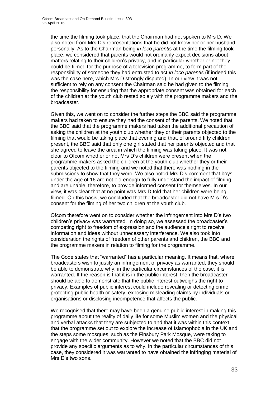the time the filming took place, that the Chairman had not spoken to Mrs D. We also noted from Mrs D's representations that he did not know her or her husband personally. As to the Chairman being *in loco parentis* at the time the filming took place, we considered that parents would not ordinarily expect decisions about matters relating to their children's privacy, and in particular whether or not they could be filmed for the purpose of a television programme, to form part of the responsibility of someone they had entrusted to act *in loco parentis* (if indeed this was the case here, which Mrs D strongly disputed). In our view it was not sufficient to rely on any consent the Chairman said he had given to the filming; the responsibility for ensuring that the appropriate consent was obtained for each of the children at the youth club rested solely with the programme makers and the broadcaster.

Given this, we went on to consider the further steps the BBC said the programme makers had taken to ensure they had the consent of the parents. We noted that the BBC said that the programme makers had taken the additional precaution of asking the children at the youth club whether they or their parents objected to the filming that would be taking place that evening and that, of around fifty children present, the BBC said that only one girl stated that her parents objected and that she agreed to leave the area in which the filming was taking place. It was not clear to Ofcom whether or not Mrs D's children were present when the programme makers asked the children at the youth club whether they or their parents objected to the filming and we noted that there was nothing in the submissions to show that they were. We also noted Mrs D's comment that boys under the age of 16 are not old enough to fully understand the impact of filming and are unable, therefore, to provide informed consent for themselves. In our view, it was clear that at no point was Mrs D told that her children were being filmed. On this basis, we concluded that the broadcaster did not have Mrs D's consent for the filming of her two children at the youth club.

Ofcom therefore went on to consider whether the infringement into Mrs D's two children's privacy was warranted. In doing so, we assessed the broadcaster's competing right to freedom of expression and the audience's right to receive information and ideas without unnecessary interference. We also took into consideration the rights of freedom of other parents and children, the BBC and the programme makers in relation to filming for the programme.

The Code states that "warranted" has a particular meaning. It means that, where broadcasters wish to justify an infringement of privacy as warranted, they should be able to demonstrate why, in the particular circumstances of the case, it is warranted. If the reason is that it is in the public interest, then the broadcaster should be able to demonstrate that the public interest outweighs the right to privacy. Examples of public interest could include revealing or detecting crime, protecting public health or safety, exposing misleading claims by individuals or organisations or disclosing incompetence that affects the public.

We recognised that there may have been a genuine public interest in making this programme about the reality of daily life for some Muslim women and the physical and verbal attacks that they are subjected to and that it was within this context that the programme set out to explore the increase of Islamophobia in the UK and the steps some mosques, such as the Finsbury Park Mosque, were taking to engage with the wider community. However we noted that the BBC did not provide any specific arguments as to why, in the particular circumstances of this case, they considered it was warranted to have obtained the infringing material of Mrs D's two sons.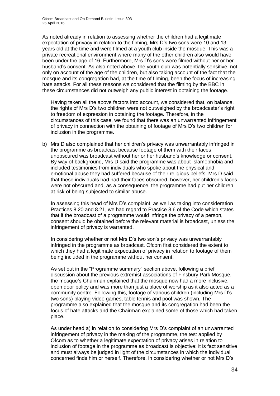As noted already in relation to assessing whether the children had a legitimate expectation of privacy in relation to the filming, Mrs D's two sons were 10 and 13 years old at the time and were filmed at a youth club inside the mosque. This was a private recreational environment where many of the other children also would have been under the age of 16. Furthermore, Mrs D's sons were filmed without her or her husband's consent. As also noted above, the youth club was potentially sensitive, not only on account of the age of the children, but also taking account of the fact that the mosque and its congregation had, at the time of filming, been the focus of increasing hate attacks. For all these reasons we considered that the filming by the BBC in these circumstances did not outweigh any public interest in obtaining the footage.

Having taken all the above factors into account, we considered that, on balance, the rights of Mrs D's two children were not outweighed by the broadcaster's right to freedom of expression in obtaining the footage. Therefore, in the circumstances of this case, we found that there was an unwarranted infringement of privacy in connection with the obtaining of footage of Mrs D's two children for inclusion in the programme.

b) Mrs D also complained that her children's privacy was unwarrantably infringed in the programme as broadcast because footage of them with their faces unobscured was broadcast without her or her husband's knowledge or consent. By way of background, Mrs D said the programme was about Islamophobia and included testimonies from individuals who spoke about the physical and emotional abuse they had suffered because of their religious beliefs. Mrs D said that these individuals had had their faces obscured, however, her children's faces were not obscured and, as a consequence, the programme had put her children at risk of being subjected to similar abuse.

In assessing this head of Mrs D's complaint, as well as taking into consideration Practices 8.20 and 8.21, we had regard to Practice 8.6 of the Code which states that if the broadcast of a programme would infringe the privacy of a person, consent should be obtained before the relevant material is broadcast, unless the infringement of privacy is warranted.

In considering whether or not Mrs D's two son's privacy was unwarrantably infringed in the programme as broadcast, Ofcom first considered the extent to which they had a legitimate expectation of privacy in relation to footage of them being included in the programme without her consent.

As set out in the "Programme summary" section above, following a brief discussion about the previous extremist associations of Finsbury Park Mosque, the mosque's Chairman explained that the mosque now had a more inclusive, open door policy and was more than just a place of worship as it also acted as a community centre. Following this, footage of various children (including Mrs D's two sons) playing video games, table tennis and pool was shown. The programme also explained that the mosque and its congregation had been the focus of hate attacks and the Chairman explained some of those which had taken place.

As under head a) in relation to considering Mrs D's complaint of an unwarranted infringement of privacy in the making of the programme, the test applied by Ofcom as to whether a legitimate expectation of privacy arises in relation to inclusion of footage in the programme as broadcast is objective: it is fact sensitive and must always be judged in light of the circumstances in which the individual concerned finds him or herself. Therefore, in considering whether or not Mrs D's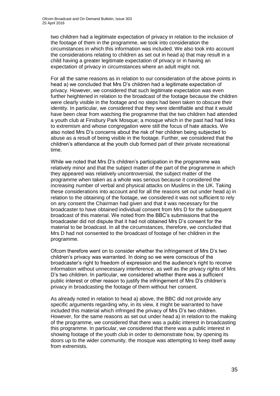two children had a legitimate expectation of privacy in relation to the inclusion of the footage of them in the programme, we took into consideration the circumstances in which this information was included. We also took into account the considerations relating to children as set out in head a) that may result in a child having a greater legitimate expectation of privacy or in having an expectation of privacy in circumstances where an adult might not.

For all the same reasons as in relation to our consideration of the above points in head a) we concluded that Mrs D's children had a legitimate expectation of privacy. However, we considered that such legitimate expectation was even further heightened in relation to the broadcast of the footage because the children were clearly visible in the footage and no steps had been taken to obscure their identity. In particular, we considered that they were identifiable and that it would have been clear from watching the programme that the two children had attended a youth club at Finsbury Park Mosque; a mosque which in the past had had links to extremism and whose congregation were still the focus of hate attacks. We also noted Mrs D's concerns about the risk of her children being subjected to abuse as a result of being visible in the footage. Further, we considered that the children's attendance at the youth club formed part of their private recreational time.

While we noted that Mrs D's children's participation in the programme was relatively minor and that the subject matter of the part of the programme in which they appeared was relatively uncontroversial, the subject matter of the programme when taken as a whole was serious because it considered the increasing number of verbal and physical attacks on Muslims in the UK. Taking these considerations into account and for all the reasons set out under head a) in relation to the obtaining of the footage, we considered it was not sufficient to rely on any consent the Chairman had given and that it was necessary for the broadcaster to have obtained individual consent from Mrs D for the subsequent broadcast of this material. We noted from the BBC's submissions that the broadcaster did not dispute that it had not obtained Mrs D's consent for the material to be broadcast. In all the circumstances, therefore, we concluded that Mrs D had not consented to the broadcast of footage of her children in the programme.

Ofcom therefore went on to consider whether the infringement of Mrs D's two children's privacy was warranted. In doing so we were conscious of the broadcaster's right to freedom of expression and the audience's right to receive information without unnecessary interference, as well as the privacy rights of Mrs D's two children. In particular, we considered whether there was a sufficient public interest or other reason to justify the infringement of Mrs D's children's privacy in broadcasting the footage of them without her consent.

As already noted in relation to head a) above, the BBC did not provide any specific arguments regarding why, in its view, it might be warranted to have included this material which infringed the privacy of Mrs D's two children. However, for the same reasons as set out under head a) in relation to the making of the programme, we considered that there was a public interest in broadcasting this programme. In particular, we considered that there was a public interest in showing footage of the youth club in order to demonstrate how, by opening its doors up to the wider community, the mosque was attempting to keep itself away from extremists.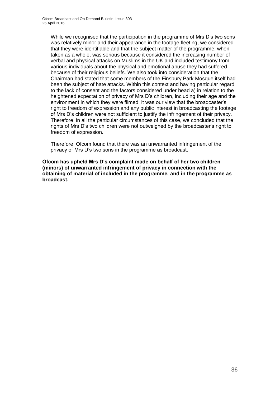While we recognised that the participation in the programme of Mrs D's two sons was relatively minor and their appearance in the footage fleeting, we considered that they were identifiable and that the subject matter of the programme, when taken as a whole, was serious because it considered the increasing number of verbal and physical attacks on Muslims in the UK and included testimony from various individuals about the physical and emotional abuse they had suffered because of their religious beliefs. We also took into consideration that the Chairman had stated that some members of the Finsbury Park Mosque itself had been the subject of hate attacks. Within this context and having particular regard to the lack of consent and the factors considered under head a) in relation to the heightened expectation of privacy of Mrs D's children, including their age and the environment in which they were filmed, it was our view that the broadcaster's right to freedom of expression and any public interest in broadcasting the footage of Mrs D's children were not sufficient to justify the infringement of their privacy. Therefore, in all the particular circumstances of this case, we concluded that the rights of Mrs D's two children were not outweighed by the broadcaster's right to freedom of expression.

Therefore, Ofcom found that there was an unwarranted infringement of the privacy of Mrs D's two sons in the programme as broadcast.

**Ofcom has upheld Mrs D's complaint made on behalf of her two children (minors) of unwarranted infringement of privacy in connection with the obtaining of material of included in the programme, and in the programme as broadcast.**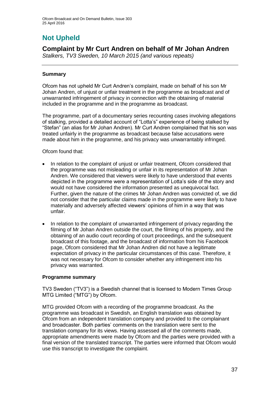# **Not Upheld**

# **Complaint by Mr Curt Andren on behalf of Mr Johan Andren**

*Stalkers, TV3 Sweden, 10 March 2015 (and various repeats)*

## **Summary**

Ofcom has not upheld Mr Curt Andren's complaint, made on behalf of his son Mr Johan Andren, of unjust or unfair treatment in the programme as broadcast and of unwarranted infringement of privacy in connection with the obtaining of material included in the programme and in the programme as broadcast.

The programme, part of a documentary series recounting cases involving allegations of stalking, provided a detailed account of "Lotta's" experience of being stalked by "Stefan" (an alias for Mr Johan Andren). Mr Curt Andren complained that his son was treated unfairly in the programme as broadcast because false accusations were made about him in the programme, and his privacy was unwarrantably infringed.

Ofcom found that:

- In relation to the complaint of unjust or unfair treatment, Ofcom considered that the programme was not misleading or unfair in its representation of Mr Johan Andren. We considered that viewers were likely to have understood that events depicted in the programme were a representation of Lotta's side of the story and would not have considered the information presented as unequivocal fact. Further, given the nature of the crimes Mr Johan Andren was convicted of, we did not consider that the particular claims made in the programme were likely to have materially and adversely affected viewers' opinions of him in a way that was unfair.
- In relation to the complaint of unwarranted infringement of privacy regarding the filming of Mr Johan Andren outside the court, the filming of his property, and the obtaining of an audio court recording of court proceedings, and the subsequent broadcast of this footage, and the broadcast of information from his Facebook page, Ofcom considered that Mr Johan Andren did not have a legitimate expectation of privacy in the particular circumstances of this case. Therefore, it was not necessary for Ofcom to consider whether any infringement into his privacy was warranted.

#### **Programme summary**

TV3 Sweden ("TV3") is a Swedish channel that is licensed to Modern Times Group MTG Limited ("MTG") by Ofcom.

MTG provided Ofcom with a recording of the programme broadcast. As the programme was broadcast in Swedish, an English translation was obtained by Ofcom from an independent translation company and provided to the complainant and broadcaster. Both parties' comments on the translation were sent to the translation company for its views. Having assessed all of the comments made, appropriate amendments were made by Ofcom and the parties were provided with a final version of the translated transcript. The parties were informed that Ofcom would use this transcript to investigate the complaint.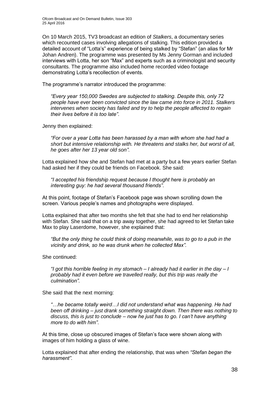On 10 March 2015, TV3 broadcast an edition of *Stalkers*, a documentary series which recounted cases involving allegations of stalking. This edition provided a detailed account of "Lotta's" experience of being stalked by "Stefan" (an alias for Mr Johan Andren). The programme was presented by Ms Jenny Gorman and included interviews with Lotta, her son "Max" and experts such as a criminologist and security consultants. The programme also included home recorded video footage demonstrating Lotta's recollection of events.

The programme's narrator introduced the programme:

*"Every year 150,000 Swedes are subjected to stalking. Despite this, only 72 people have ever been convicted since the law came into force in 2011. Stalkers intervenes when society has failed and try to help the people affected to regain their lives before it is too late"*.

Jenny then explained:

*"For over a year Lotta has been harassed by a man with whom she had had a short but intensive relationship with. He threatens and stalks her, but worst of all, he goes after her 13 year old son".*

Lotta explained how she and Stefan had met at a party but a few years earlier Stefan had asked her if they could be friends on Facebook. She said:

*"I accepted his friendship request because I thought here is probably an interesting guy: he had several thousand friends"*.

At this point, footage of Stefan's Facebook page was shown scrolling down the screen. Various people's names and photographs were displayed.

Lotta explained that after two months she felt that she had to end her relationship with Stefan. She said that on a trip away together, she had agreed to let Stefan take Max to play Laserdome, however, she explained that:

*"But the only thing he could think of doing meanwhile, was to go to a pub in the vicinity and drink, so he was drunk when he collected Max".*

She continued:

*"I got this horrible feeling in my stomach – I already had it earlier in the day – I probably had it even before we travelled really, but this trip was really the culmination".*

She said that the next morning:

*"…he became totally weird…I did not understand what was happening. He had been off drinking – just drank something straight down. Then there was nothing to discuss, this is just to conclude – now he just has to go. I can't have anything more to do with him"*.

At this time, close up obscured images of Stefan's face were shown along with images of him holding a glass of wine.

Lotta explained that after ending the relationship, that was when *"Stefan began the harassment"*.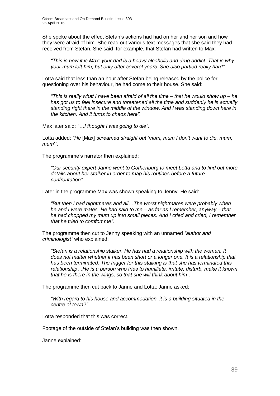She spoke about the effect Stefan's actions had had on her and her son and how they were afraid of him. She read out various text messages that she said they had received from Stefan. She said, for example, that Stefan had written to Max:

*"This is how it is Max: your dad is a heavy alcoholic and drug addict. That is why your mum left him, but only after several years. She also partied really hard"*.

Lotta said that less than an hour after Stefan being released by the police for questioning over his behaviour, he had come to their house. She said:

*"This is really what I have been afraid of all the time – that he would show up – he has got us to feel insecure and threatened all the time and suddenly he is actually standing right there in the middle of the window. And I was standing down here in the kitchen. And it turns to chaos here".*

Max later said: *"…I thought I was going to die".*

Lotta added: *"He* [Max] *screamed straight out 'mum, mum I don't want to die, mum, mum*'*"*.

The programme's narrator then explained:

*"Our security expert Janne went to Gothenburg to meet Lotta and to find out more details about her stalker in order to map his routines before a future confrontation".*

Later in the programme Max was shown speaking to Jenny. He said:

*"But then I had nightmares and all*…*The worst nightmares were probably when he and I were mates. He had said to me – as far as I remember, anyway – that he had chopped my mum up into small pieces. And I cried and cried, I remember that he tried to comfort me"*.

The programme then cut to Jenny speaking with an unnamed *"author and criminologist"* who explained:

*"Stefan is a relationship stalker. He has had a relationship with the woman. It does not matter whether it has been short or a longer one. It is a relationship that has been terminated. The trigger for this stalking is that she has terminated this relationship…He is a person who tries to humiliate, irritate, disturb, make it known that he is there in the wings, so that she will think about him"*.

The programme then cut back to Janne and Lotta; Janne asked:

*"With regard to his house and accommodation, it is a building situated in the centre of town?"*

Lotta responded that this was correct.

Footage of the outside of Stefan's building was then shown.

Janne explained: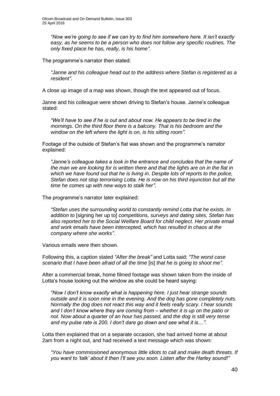*"Now we're going to see if we can try to find him somewhere here. It isn't exactly*  easy, as he seems to be a person who does not follow any specific routines. The *only fixed place he has, really, is his home"*.

The programme's narrator then stated:

*"Janne and his colleague head out to the address where Stefan is registered as a resident"*.

A close up image of a map was shown, though the text appeared out of focus.

Janne and his colleague were shown driving to Stefan's house. Janne's colleague stated:

*"We'll have to see if he is out and about now. He appears to be tired in the mornings. On the third floor there is a balcony. That is his bedroom and the window on the left where the light is on, is his sitting room"*.

Footage of the outside of Stefan's flat was shown and the programme's narrator explained:

*"Janne's colleague takes a look in the entrance and concludes that the name of the man we are looking for is written there and that the lights are on in the flat in which we have found out that he is living in. Despite lots of reports to the police, Stefan does not stop terrorising Lotta. He is now on his third injunction but all the time he comes up with new ways to stalk her"*.

The programme's narrator later explained:

*"Stefan uses the surrounding world to constantly remind Lotta that he exists. In addition to* [signing her up to] *competitions, surveys and dating sites, Stefan has also reported her to the Social Welfare Board for child neglect. Her private email and work emails have been intercepted, which has resulted in chaos at the company where she works"*.

Various emails were then shown.

Following this, a caption stated *"After the break"* and Lotta said: *"The worst case scenario that I have been afraid of all the time* [is] *that he is going to shoot me"*.

After a commercial break, home filmed footage was shown taken from the inside of Lotta's house looking out the window as she could be heard saying:

*"Now I don't know exactly what is happening here. I just hear strange sounds outside and it is soon nine in the evening. And the dog has gone completely nuts. Normally the dog does not react this way and it feels really scary. I hear sounds and I don't know where they are coming from – whether it is up on the patio or not. Now about a quarter of an hour has passed, and the dog is still very tense and my pulse rate is 200. I don't dare go down and see what it is*…*"*.

Lotta then explained that on a separate occasion, she had arrived home at about 2am from a night out, and had received a text message which was shown:

*"You have commissioned anonymous little idiots to call and make death threats. If you want to 'talk' about it then I'll see you soon. Listen after the Harley sound!"*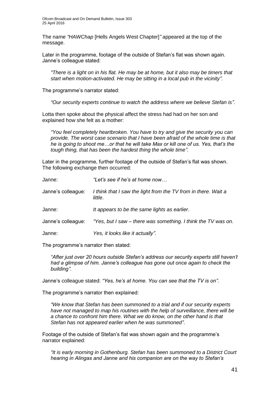The name *"HAWChap* [Hells Angels West Chapter]*"* appeared at the top of the message.

Later in the programme, footage of the outside of Stefan's flat was shown again. Janne's colleague stated:

*"There is a light on in his flat. He may be at home, but it also may be timers that start when motion-activated. He may be sitting in a local pub in the vicinity".*

The programme's narrator stated:

*"Our security experts continue to watch the address where we believe Stefan is"*.

Lotta then spoke about the physical affect the stress had had on her son and explained how she felt as a mother:

*"You feel completely heartbroken. You have to try and give the security you can provide. The worst case scenario that I have been afraid of the whole time is that he is going to shoot me…or that he will take Max or kill one of us. Yes, that's the tough thing, that has been the hardest thing the whole time"*.

Later in the programme, further footage of the outside of Stefan's flat was shown. The following exchange then occurred:

| Janne:             | "Let's see if he's at home now                                            |
|--------------------|---------------------------------------------------------------------------|
| Janne's colleague: | I think that I saw the light from the TV from in there. Wait a<br>little. |
| Janne:             | It appears to be the same lights as earlier.                              |
| Janne's colleague: | "Yes, but I saw – there was something. I think the TV was on.             |
| Janne:             | Yes, it looks like it actually".                                          |

The programme's narrator then stated:

*"After just over 20 hours outside Stefan's address our security experts still haven't had a glimpse of him. Janne's colleague has gone out once again to check the building"*.

Janne's colleague stated: *"Yes, he's at home. You can see that the TV is on"*.

The programme's narrator then explained:

*"We know that Stefan has been summoned to a trial and if our security experts have not managed to map his routines with the help of surveillance, there will be a chance to confront him there. What we do know, on the other hand is that Stefan has not appeared earlier when he was summoned"*.

Footage of the outside of Stefan's flat was shown again and the programme's narrator explained:

*"It is early morning in Gothenburg. Stefan has been summoned to a District Court hearing in Alingas and Janne and his companion are on the way to Stefan's*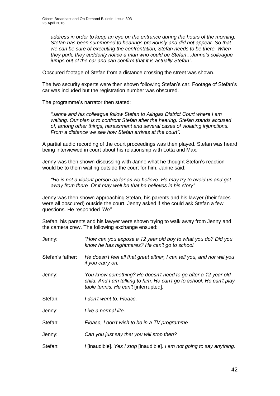*address in order to keep an eye on the entrance during the hours of the morning. Stefan has been summoned to hearings previously and did not appear. So that we can be sure of executing the confrontation, Stefan needs to be there. When they park, they suddenly notice a man who could be Stefan…Janne's colleague jumps out of the car and can confirm that it is actually Stefan"*.

Obscured footage of Stefan from a distance crossing the street was shown.

The two security experts were then shown following Stefan's car. Footage of Stefan's car was included but the registration number was obscured.

The programme's narrator then stated:

*"Janne and his colleague follow Stefan to Alingas District Court where I am waiting. Our plan is to confront Stefan after the hearing. Stefan stands accused of, among other things, harassment and several cases of violating injunctions. From a distance we see how Stefan arrives at the court".*

A partial audio recording of the court proceedings was then played. Stefan was heard being interviewed in court about his relationship with Lotta and Max.

Jenny was then shown discussing with Janne what he thought Stefan's reaction would be to them waiting outside the court for him. Janne said:

*"He is not a violent person as far as we believe. He may try to avoid us and get away from there. Or it may well be that he believes in his story".*

Jenny was then shown approaching Stefan, his parents and his lawyer (their faces were all obscured) outside the court. Jenny asked if she could ask Stefan a few questions. He responded *"No".*

Stefan, his parents and his lawyer were shown trying to walk away from Jenny and the camera crew. The following exchange ensued:

| Jenny:           | "How can you expose a 12 year old boy to what you do? Did you<br>know he has nightmares? He can't go to school.                                                                |
|------------------|--------------------------------------------------------------------------------------------------------------------------------------------------------------------------------|
| Stefan's father: | He doesn't feel all that great either, I can tell you, and nor will you<br>if you carry on.                                                                                    |
| Jenny:           | You know something? He doesn't need to go after a 12 year old<br>child. And I am talking to him. He can't go to school. He can't play<br>table tennis. He can't [interrupted]. |
| Stefan:          | I don't want to. Please.                                                                                                                                                       |
| Jenny:           | Live a normal life.                                                                                                                                                            |
| Stefan:          | Please, I don't wish to be in a TV programme.                                                                                                                                  |
| Jenny:           | Can you just say that you will stop then?                                                                                                                                      |
| Stefan:          | I linaudible]. Yes I stop linaudible]. I am not going to say anything.                                                                                                         |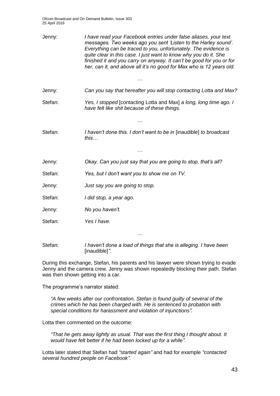Ofcom Broadcast and On Demand Bulletin, Issue 303 25 April 2016

| Jenny:  | I have read your Facebook entries under false aliases, your text<br>messages. Two weeks ago you sent 'Listen to the Harley sound'.<br>Everything can be traced to you, unfortunately. The evidence is<br>quite clear in this case. I just want to know why you do it. She<br>finished it and you carry on anyway. It can't be good for you or for<br>her, can it, and above all it's no good for Max who is 12 years old.<br>$\cdot$ |
|---------|--------------------------------------------------------------------------------------------------------------------------------------------------------------------------------------------------------------------------------------------------------------------------------------------------------------------------------------------------------------------------------------------------------------------------------------|
| Jenny:  | Can you say that hereafter you will stop contacting Lotta and Max?                                                                                                                                                                                                                                                                                                                                                                   |
| Stefan: | Yes, I stopped [contacting Lotta and Max] a long, long time ago. I<br>have felt like shit because of these things.                                                                                                                                                                                                                                                                                                                   |
|         |                                                                                                                                                                                                                                                                                                                                                                                                                                      |
| Stefan: | I haven't done this. I don't want to be in [inaudible] to broadcast<br>this                                                                                                                                                                                                                                                                                                                                                          |
|         | $\cdots$                                                                                                                                                                                                                                                                                                                                                                                                                             |
| Jenny:  | Okay. Can you just say that you are going to stop, that's all?                                                                                                                                                                                                                                                                                                                                                                       |
| Stefan: | Yes, but I don't want you to show me on TV.                                                                                                                                                                                                                                                                                                                                                                                          |
| Jenny:  | Just say you are going to stop.                                                                                                                                                                                                                                                                                                                                                                                                      |
| Stefan: | I did stop, a year ago.                                                                                                                                                                                                                                                                                                                                                                                                              |
| Jenny:  | No you haven't.                                                                                                                                                                                                                                                                                                                                                                                                                      |
| Stefan: | Yes I have.                                                                                                                                                                                                                                                                                                                                                                                                                          |
| Stefan: | $\cdots$<br>I haven't done a load of things that she is alleging. I have been<br>[inaudible]".                                                                                                                                                                                                                                                                                                                                       |

During this exchange, Stefan, his parents and his lawyer were shown trying to evade Jenny and the camera crew. Jenny was shown repeatedly blocking their path. Stefan was then shown getting into a car.

The programme's narrator stated:

*"A few weeks after our confrontation, Stefan is found guilty of several of the crimes which he has been charged with. He is sentenced to probation with special conditions for harassment and violation of injunctions".*

Lotta then commented on the outcome:

*"That he gets away lightly as usual. That was the first thing I thought about. It would have felt better if he had been locked up for a while"*.

Lotta later stated that Stefan had *"started again"* and had for example *"contacted several hundred people on Facebook"*.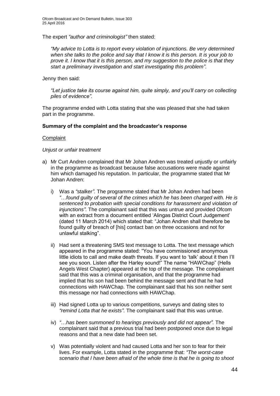The expert *"author and criminologist"* then stated:

*"My advice to Lotta is to report every violation of injunctions. Be very determined when she talks to the police and say that I know it is this person. It is your job to prove it. I know that it is this person, and my suggestion to the police is that they start a preliminary investigation and start investigating this problem"*.

Jenny then said:

*"Let justice take its course against him, quite simply, and you'll carry on collecting piles of evidence".*

The programme ended with Lotta stating that she was pleased that she had taken part in the programme.

#### **Summary of the complaint and the broadcaster's response**

#### **Complaint**

#### *Unjust or unfair treatment*

- a) Mr Curt Andren complained that Mr Johan Andren was treated unjustly or unfairly in the programme as broadcast because false accusations were made against him which damaged his reputation. In particular, the programme stated that Mr Johan Andren:
	- i) Was a *"stalker"*. The programme stated that Mr Johan Andren had been *"*…*found guilty of several of the crimes which he has been charged with. He is sentenced to probation with special conditions for harassment and violation of injunctions"*. The complainant said that this was untrue and provided Ofcom with an extract from a document entitled 'Alingas District Court Judgement' (dated 11 March 2014) which stated that: "Johan Andren shall therefore be found guilty of breach of [his] contact ban on three occasions and not for unlawful stalking".
	- ii) Had sent a threatening SMS text message to Lotta. The text message which appeared in the programme stated: "You have commissioned anonymous little idiots to call and make death threats. If you want to 'talk' about it then I'll see you soon. Listen after the Harley sound!" The name "HAWChap" (Hells Angels West Chapter) appeared at the top of the message. The complainant said that this was a criminal organisation, and that the programme had implied that his son had been behind the message sent and that he had connections with HAWChap. The complainant said that his son neither sent this message nor had connections with HAWChap.
	- iii) Had signed Lotta up to various competitions, surveys and dating sites to *"remind Lotta that he exists"*. The complainant said that this was untrue.
	- iv) *"*…*has been summoned to hearings previously and did not appear".* The complainant said that a previous trial had been postponed once due to legal reasons and that a new date had been set.
	- v) Was potentially violent and had caused Lotta and her son to fear for their lives. For example, Lotta stated in the programme that: *"The worst-case scenario that I have been afraid of the whole time is that he is going to shoot*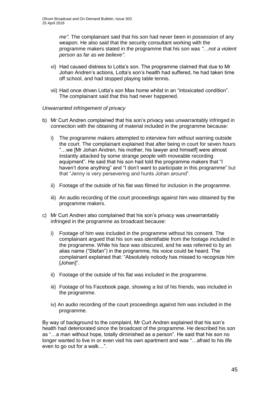*me"*. The complainant said that his son had never been in possession of any weapon. He also said that the security consultant working with the programme makers stated in the programme that his son was *"*…*not a violent person as far as we believe"*.

- vi) Had caused distress to Lotta's son. The programme claimed that due to Mr Johan Andren's actions, Lotta's son's health had suffered, he had taken time off school, and had stopped playing table tennis.
- vii) Had once driven Lotta's son Max home whilst in an "intoxicated condition". The complainant said that this had never happened.

### *Unwarranted infringement of privacy*

- b) Mr Curt Andren complained that his son's privacy was unwarrantably infringed in connection with the obtaining of material included in the programme because:
	- i) The programme makers attempted to interview him without warning outside the court. The complainant explained that after being in court for seven hours "…we [Mr Johan Andren, his mother, his lawyer and himself] were almost instantly attacked by some strange people with moveable recording equipment". He said that his son had told the programme makers that "I haven't done anything" and "I don't want to participate in this programme" but that "Jenny is very persevering and hunts Johan around".
	- ii) Footage of the outside of his flat was filmed for inclusion in the programme.
	- iii) An audio recording of the court proceedings against him was obtained by the programme makers.
- c) Mr Curt Andren also complained that his son's privacy was unwarrantably infringed in the programme as broadcast because:
	- i) Footage of him was included in the programme without his consent. The complainant argued that his son was identifiable from the footage included in the programme. While his face was obscured, and he was referred to by an alias name ("Stefan") in the programme, his voice could be heard. The complainant explained that: "Absolutely nobody has missed to recognize him [Johan]".
	- ii) Footage of the outside of his flat was included in the programme.
	- iii) Footage of his Facebook page, showing a list of his friends, was included in the programme.
	- iv) An audio recording of the court proceedings against him was included in the programme.

By way of background to the complaint, Mr Curt Andren explained that his son's health had deteriorated since the broadcast of the programme. He described his son as "…a man without hope, totally diminished as a person". He said that his son no longer wanted to live in or even visit his own apartment and was "…afraid to his life even to go out for a walk…".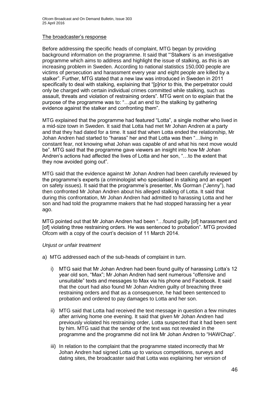#### The broadcaster's response

Before addressing the specific heads of complaint, MTG began by providing background information on the programme. It said that "'Stalkers' is an investigative programme which aims to address and highlight the issue of stalking, as this is an increasing problem in Sweden. According to national statistics 150,000 people are victims of persecution and harassment every year and eight people are killed by a stalker". Further, MTG stated that a new law was introduced in Sweden in 2011 specifically to deal with stalking, explaining that "[p]rior to this, the perpetrator could only be charged with certain individual crimes committed while stalking, such as assault, threats and violation of restraining orders". MTG went on to explain that the purpose of the programme was to: "…put an end to the stalking by gathering evidence against the stalker and confronting them".

MTG explained that the programme had featured "Lotta", a single mother who lived in a mid-size town in Sweden. It said that Lotta had met Mr Johan Andren at a party and that they had dated for a time. It said that when Lotta ended the relationship, Mr Johan Andren had started to "harass" her and that Lotta was then "…living in constant fear, not knowing what Johan was capable of and what his next move would be". MTG said that the programme gave viewers an insight into how Mr Johan Andren's actions had affected the lives of Lotta and her son, "…to the extent that they now avoided going out".

MTG said that the evidence against Mr Johan Andren had been carefully reviewed by the programme's experts (a criminologist who specialised in stalking and an expert on safety issues). It said that the programme's presenter, Ms Gorman ("Jenny"), had then confronted Mr Johan Andren about his alleged stalking of Lotta. It said that during this confrontation, Mr Johan Andren had admitted to harassing Lotta and her son and had told the programme makers that he had stopped harassing her a year ago.

MTG pointed out that Mr Johan Andren had been "…found guilty [of] harassment and [of] violating three restraining orders. He was sentenced to probation". MTG provided Ofcom with a copy of the court's decision of 11 March 2014.

#### *Unjust or unfair treatment*

- a) MTG addressed each of the sub-heads of complaint in turn.
	- i) MTG said that Mr Johan Andren had been found guilty of harassing Lotta's 12 year old son, "Max"; Mr Johan Andren had sent numerous "offensive and unsuitable" texts and messages to Max via his phone and Facebook. It said that the court had also found Mr Johan Andren guilty of breaching three restraining orders and that as a consequence, he had been sentenced to probation and ordered to pay damages to Lotta and her son.
	- ii) MTG said that Lotta had received the text message in question a few minutes after arriving home one evening. It said that given Mr Johan Andren had previously violated his restraining order, Lotta suspected that it had been sent by him. MTG said that the sender of the text was not revealed in the programme and the programme did not link Mr Johan Andren to "HAWChap".
	- iii) In relation to the complaint that the programme stated incorrectly that Mr Johan Andren had signed Lotta up to various competitions, surveys and dating sites, the broadcaster said that Lotta was explaining her version of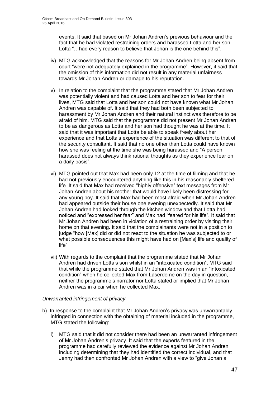events. It said that based on Mr Johan Andren's previous behaviour and the fact that he had violated restraining orders and harassed Lotta and her son, Lotta "…had every reason to believe that Johan is the one behind this".

- iv) MTG acknowledged that the reasons for Mr Johan Andren being absent from court "were not adequately explained in the programme". However, it said that the omission of this information did not result in any material unfairness towards Mr Johan Andren or damage to his reputation.
- v) In relation to the complaint that the programme stated that Mr Johan Andren was potentially violent and had caused Lotta and her son to fear for their lives, MTG said that Lotta and her son could not have known what Mr Johan Andren was capable of. It said that they had both been subjected to harassment by Mr Johan Andren and their natural instinct was therefore to be afraid of him. MTG said that the programme did not present Mr Johan Andren to be as dangerous as Lotta and her son had thought he was at the time. It said that it was important that Lotta be able to speak freely about her experience and that Lotta's experience of the situation was different to that of the security consultant. It said that no one other than Lotta could have known how she was feeling at the time she was being harassed and "A person harassed does not always think rational thoughts as they experience fear on a daily basis".
- vi) MTG pointed out that Max had been only 12 at the time of filming and that he had not previously encountered anything like this in his reasonably sheltered life. It said that Max had received "highly offensive" text messages from Mr Johan Andren about his mother that would have likely been distressing for any young boy. It said that Max had been most afraid when Mr Johan Andren had appeared outside their house one evening unexpectedly. It said that Mr Johan Andren had looked through the kitchen window and that Lotta had noticed and "expressed her fear" and Max had "feared for his life". It said that Mr Johan Andren had been in violation of a restraining order by visiting their home on that evening. It said that the complainants were not in a position to judge "how [Max] did or did not react to the situation he was subjected to or what possible consequences this might have had on [Max's] life and quality of life".
- vii) With regards to the complaint that the programme stated that Mr Johan Andren had driven Lotta's son whilst in an "intoxicated condition", MTG said that while the programme stated that Mr Johan Andren was in an "intoxicated condition" when he collected Max from Laserdome on the day in question, neither the programme's narrator nor Lotta stated or implied that Mr Johan Andren was in a car when he collected Max.

#### *Unwarranted infringement of privacy*

- b) In response to the complaint that Mr Johan Andren's privacy was unwarrantably infringed in connection with the obtaining of material included in the programme, MTG stated the following:
	- i) MTG said that it did not consider there had been an unwarranted infringement of Mr Johan Andren's privacy. It said that the experts featured in the programme had carefully reviewed the evidence against Mr Johan Andren, including determining that they had identified the correct individual, and that Jenny had then confronted Mr Johan Andren with a view to "give Johan a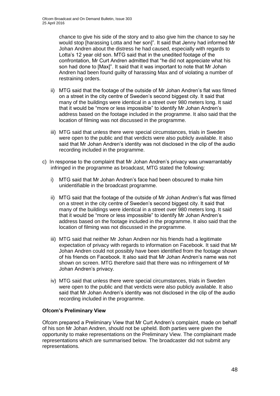chance to give his side of the story and to also give him the chance to say he would stop [harassing Lotta and her son]". It said that Jenny had informed Mr Johan Andren about the distress he had caused, especially with regards to Lotta's 12 year old son. MTG said that in the unedited footage of the confrontation, Mr Curt Andren admitted that "he did not appreciate what his son had done to [Max]". It said that it was important to note that Mr Johan Andren had been found guilty of harassing Max and of violating a number of restraining orders.

- ii) MTG said that the footage of the outside of Mr Johan Andren's flat was filmed on a street in the city centre of Sweden's second biggest city. It said that many of the buildings were identical in a street over 980 meters long. It said that it would be "more or less impossible" to identify Mr Johan Andren's address based on the footage included in the programme. It also said that the location of filming was not discussed in the programme.
- iii) MTG said that unless there were special circumstances, trials in Sweden were open to the public and that verdicts were also publicly available. It also said that Mr Johan Andren's identity was not disclosed in the clip of the audio recording included in the programme.
- c) In response to the complaint that Mr Johan Andren's privacy was unwarrantably infringed in the programme as broadcast, MTG stated the following:
	- i) MTG said that Mr Johan Andren's face had been obscured to make him unidentifiable in the broadcast programme.
	- ii) MTG said that the footage of the outside of Mr Johan Andren's flat was filmed on a street in the city centre of Sweden's second biggest city. It said that many of the buildings were identical in a street over 980 meters long. It said that it would be "more or less impossible" to identify Mr Johan Andren's address based on the footage included in the programme. It also said that the location of filming was not discussed in the programme.
	- iii) MTG said that neither Mr Johan Andren nor his friends had a legitimate expectation of privacy with regards to information on Facebook. It said that Mr Johan Andren could not possibly have been identified from the footage shown of his friends on Facebook. It also said that Mr Johan Andren's name was not shown on screen. MTG therefore said that there was no infringement of Mr Johan Andren's privacy.
	- iv) MTG said that unless there were special circumstances, trials in Sweden were open to the public and that verdicts were also publicly available. It also said that Mr Johan Andren's identity was not disclosed in the clip of the audio recording included in the programme.

## **Ofcom's Preliminary View**

Ofcom prepared a Preliminary View that Mr Curt Andren's complaint, made on behalf of his son Mr Johan Andren, should not be upheld. Both parties were given the opportunity to make representations on the Preliminary View. The complainant made representations which are summarised below. The broadcaster did not submit any representations.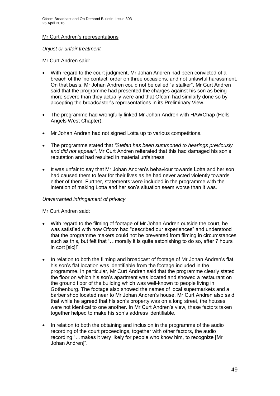#### Mr Curt Andren's representations

*Unjust or unfair treatment*

Mr Curt Andren said:

- With regard to the court judgment, Mr Johan Andren had been convicted of a breach of the 'no contact' order on three occasions, and not unlawful harassment. On that basis, Mr Johan Andren could not be called "a stalker". Mr Curt Andren said that the programme had presented the charges against his son as being more severe than they actually were and that Ofcom had similarly done so by accepting the broadcaster's representations in its Preliminary View.
- The programme had wrongfully linked Mr Johan Andren with HAWChap (Hells Angels West Chapter).
- Mr Johan Andren had not signed Lotta up to various competitions.
- The programme stated that *"Stefan has been summoned to hearings previously and did not appear"*. Mr Curt Andren reiterated that this had damaged his son's reputation and had resulted in material unfairness.
- It was unfair to say that Mr Johan Andren's behaviour towards Lotta and her son had caused them to fear for their lives as he had never acted violently towards either of them. Further, statements were included in the programme with the intention of making Lotta and her son's situation seem worse than it was.

#### *Unwarranted infringement of privacy*

Mr Curt Andren said:

- With regard to the filming of footage of Mr Johan Andren outside the court, he was satisfied with how Ofcom had "described our experiences" and understood that the programme makers could not be prevented from filming in circumstances such as this, but felt that "…morally it is quite astonishing to do so, after 7 hours in cort [sic]!"
- In relation to both the filming and broadcast of footage of Mr Johan Andren's flat, his son's flat location was identifiable from the footage included in the programme. In particular, Mr Curt Andren said that the programme clearly stated the floor on which his son's apartment was located and showed a restaurant on the ground floor of the building which was well-known to people living in Gothenburg. The footage also showed the names of local supermarkets and a barber shop located near to Mr Johan Andren's house. Mr Curt Andren also said that while he agreed that his son's property was on a long street, the houses were not identical to one another. In Mr Curt Andren's view, these factors taken together helped to make his son's address identifiable.
- In relation to both the obtaining and inclusion in the programme of the audio recording of the court proceedings, together with other factors, the audio recording "…makes it very likely for people who know him, to recognize [Mr Johan Andren]".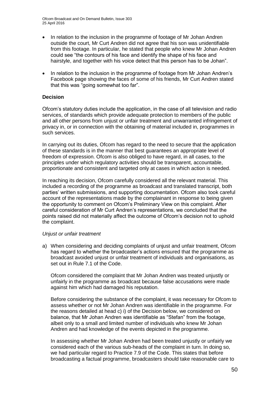Ofcom Broadcast and On Demand Bulletin, Issue 303 25 April 2016

- In relation to the inclusion in the programme of footage of Mr Johan Andren outside the court, Mr Curt Andren did not agree that his son was unidentifiable from this footage. In particular, he stated that people who knew Mr Johan Andren could see "the contours of his face and identify the shape of his face and hairstyle, and together with his voice detect that this person has to be Johan".
- In relation to the inclusion in the programme of footage from Mr Johan Andren's Facebook page showing the faces of some of his friends, Mr Curt Andren stated that this was "going somewhat too far".

#### **Decision**

Ofcom's statutory duties include the application, in the case of all television and radio services, of standards which provide adequate protection to members of the public and all other persons from unjust or unfair treatment and unwarranted infringement of privacy in, or in connection with the obtaining of material included in, programmes in such services.

In carrying out its duties, Ofcom has regard to the need to secure that the application of these standards is in the manner that best guarantees an appropriate level of freedom of expression. Ofcom is also obliged to have regard, in all cases, to the principles under which regulatory activities should be transparent, accountable, proportionate and consistent and targeted only at cases in which action is needed.

In reaching its decision, Ofcom carefully considered all the relevant material. This included a recording of the programme as broadcast and translated transcript, both parties' written submissions, and supporting documentation. Ofcom also took careful account of the representations made by the complainant in response to being given the opportunity to comment on Ofcom's Preliminary View on this complaint. After careful consideration of Mr Curt Andren's representations, we concluded that the points raised did not materially affect the outcome of Ofcom's decision not to uphold the complaint.

#### *Unjust or unfair treatment*

a) When considering and deciding complaints of unjust and unfair treatment, Ofcom has regard to whether the broadcaster's actions ensured that the programme as broadcast avoided unjust or unfair treatment of individuals and organisations, as set out in Rule 7.1 of the Code.

Ofcom considered the complaint that Mr Johan Andren was treated unjustly or unfairly in the programme as broadcast because false accusations were made against him which had damaged his reputation.

Before considering the substance of the complaint, it was necessary for Ofcom to assess whether or not Mr Johan Andren was identifiable in the programme. For the reasons detailed at head c) i) of the Decision below, we considered on balance, that Mr Johan Andren was identifiable as "Stefan" from the footage, albeit only to a small and limited number of individuals who knew Mr Johan Andren and had knowledge of the events depicted in the programme.

In assessing whether Mr Johan Andren had been treated unjustly or unfairly we considered each of the various sub-heads of the complaint in turn. In doing so, we had particular regard to Practice 7.9 of the Code. This states that before broadcasting a factual programme, broadcasters should take reasonable care to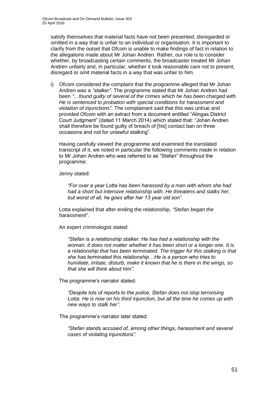satisfy themselves that material facts have not been presented, disregarded or omitted in a way that is unfair to an individual or organisation. It is important to clarify from the outset that Ofcom is unable to make findings of fact in relation to the allegations made about Mr Johan Andren. Rather, our role is to consider whether, by broadcasting certain comments, the broadcaster treated Mr Johan Andren unfairly and, in particular, whether it took reasonable care not to present, disregard or omit material facts in a way that was unfair to him.

i) Ofcom considered the complaint that the programme alleged that Mr Johan Andren was a *"stalker"*. The programme stated that Mr Johan Andren had been *"*…*found guilty of several of the crimes which he has been charged with. He is sentenced to probation with special conditions for harassment and violation of injunctions"*. The complainant said that this was untrue and provided Ofcom with an extract from a document entitled "Alingas District Court Judgment" (dated 11 March 2014) which stated that: "Johan Andren shall therefore be found guilty of breach of [his] contact ban on three occasions and not for unlawful stalking".

Having carefully viewed the programme and examined the translated transcript of it, we noted in particular the following comments made in relation to Mr Johan Andren who was referred to as "Stefan" throughout the programme:

Jenny stated:

*"For over a year Lotta has been harassed by a man with whom she had had a short but intensive relationship with. He threatens and stalks her, but worst of all, he goes after her 13 year old son".*

Lotta explained that after ending the relationship, *"Stefan began the harassment*".

An expert criminologist stated:

*"Stefan is a relationship stalker. He has had a relationship with the woman. It does not matter whether it has been short or a longer one. It is a relationship that has been terminated. The trigger for this stalking is that she has terminated this relationship…He is a person who tries to humiliate, irritate, disturb, make it known that he is there in the wings, so that she will think about him".*

The programme's narrator stated:

*"Despite lots of reports to the police, Stefan does not stop terrorising Lotta. He is now on his third injunction, but all the time he comes up with new ways to stalk her"*.

The programme's narrator later stated:

*"Stefan stands accused of, among other things, harassment and several cases of violating injunctions".*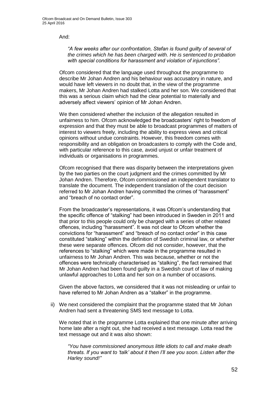And:

*"A few weeks after our confrontation, Stefan is found guilty of several of the crimes which he has been charged with. He is sentenced to probation with special conditions for harassment and violation of injunctions".*

Ofcom considered that the language used throughout the programme to describe Mr Johan Andren and his behaviour was accusatory in nature, and would have left viewers in no doubt that, in the view of the programme makers, Mr Johan Andren had stalked Lotta and her son. We considered that this was a serious claim which had the clear potential to materially and adversely affect viewers' opinion of Mr Johan Andren.

We then considered whether the inclusion of the allegation resulted in unfairness to him. Ofcom acknowledged the broadcasters' right to freedom of expression and that they must be able to broadcast programmes of matters of interest to viewers freely, including the ability to express views and critical opinions without undue constraints. However, this freedom comes with responsibility and an obligation on broadcasters to comply with the Code and, with particular reference to this case, avoid unjust or unfair treatment of individuals or organisations in programmes.

Ofcom recognised that there was disparity between the interpretations given by the two parties on the court judgment and the crimes committed by Mr Johan Andren. Therefore, Ofcom commissioned an independent translator to translate the document. The independent translation of the court decision referred to Mr Johan Andren having committed the crimes of "harassment" and "breach of no contact order".

From the broadcaster's representations, it was Ofcom's understanding that the specific offence of "stalking" had been introduced in Sweden in 2011 and that prior to this people could only be charged with a series of other related offences, including "harassment". It was not clear to Ofcom whether the convictions for "harassment" and "breach of no contact order" in this case constituted "stalking" within the definition of Swedish criminal law, or whether these were separate offences. Ofcom did not consider, however, that the references to "stalking" which were made in the programme resulted in unfairness to Mr Johan Andren. This was because, whether or not the offences were technically characterised as "stalking", the fact remained that Mr Johan Andren had been found guilty in a Swedish court of law of making unlawful approaches to Lotta and her son on a number of occasions.

Given the above factors, we considered that it was not misleading or unfair to have referred to Mr Johan Andren as a "stalker" in the programme.

ii) We next considered the complaint that the programme stated that Mr Johan Andren had sent a threatening SMS text message to Lotta.

We noted that in the programme Lotta explained that one minute after arriving home late after a night out, she had received a text message. Lotta read the text message out and it was also shown:

*"You have commissioned anonymous little idiots to call and make death threats. If you want to 'talk' about it then I'll see you soon. Listen after the Harley sound!"*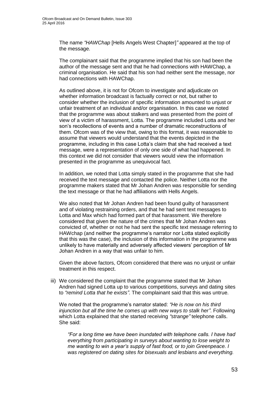The name *"HAWChap* [Hells Angels West Chapter]*"* appeared at the top of the message.

The complainant said that the programme implied that his son had been the author of the message sent and that he had connections with HAWChap, a criminal organisation. He said that his son had neither sent the message, nor had connections with HAWChap.

As outlined above, it is not for Ofcom to investigate and adjudicate on whether information broadcast is factually correct or not, but rather to consider whether the inclusion of specific information amounted to unjust or unfair treatment of an individual and/or organisation. In this case we noted that the programme was about stalkers and was presented from the point of view of a victim of harassment, Lotta. The programme included Lotta and her son's recollections of events and a number of dramatic reconstructions of them. Ofcom was of the view that, owing to this format, it was reasonable to assume that viewers would understand that the events depicted in the programme, including in this case Lotta's claim that she had received a text message, were a representation of only one side of what had happened. In this context we did not consider that viewers would view the information presented in the programme as unequivocal fact.

In addition, we noted that Lotta simply stated in the programme that she had received the text message and contacted the police. Neither Lotta nor the programme makers stated that Mr Johan Andren was responsible for sending the text message or that he had affiliations with Hells Angels.

We also noted that Mr Johan Andren had been found guilty of harassment and of violating restraining orders, and that he had sent text messages to Lotta and Max which had formed part of that harassment. We therefore considered that given the nature of the crimes that Mr Johan Andren was convicted of, whether or not he had sent the specific text message referring to HAWchap (and neither the programme's narrator nor Lotta stated explicitly that this was the case), the inclusion of this information in the programme was unlikely to have materially and adversely affected viewers' perception of Mr Johan Andren in a way that was unfair to him.

Given the above factors, Ofcom considered that there was no unjust or unfair treatment in this respect.

iii) We considered the complaint that the programme stated that Mr Johan Andren had signed Lotta up to various competitions, surveys and dating sites to *"remind Lotta that he exists"*. The complainant said that this was untrue.

We noted that the programme's narrator stated: *"He is now on his third injunction but all the time he comes up with new ways to stalk her"*. Following which Lotta explained that she started receiving *"strange"* telephone calls. She said:

*"For a long time we have been inundated with telephone calls. I have had everything from participating in surveys about wanting to lose weight to me wanting to win a year's supply of fast food, or to join Greenpeace. I was registered on dating sites for bisexuals and lesbians and everything.*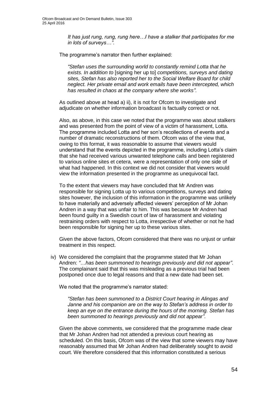*It has just rung, rung, rung here…I have a stalker that participates for me in lots of surveys…"*.

The programme's narrator then further explained:

*"Stefan uses the surrounding world to constantly remind Lotta that he exists. In addition to* [signing her up to] *competitions, surveys and dating sites, Stefan has also reported her to the Social Welfare Board for child neglect. Her private email and work emails have been intercepted, which has resulted in chaos at the company where she works"*.

As outlined above at head a) ii), it is not for Ofcom to investigate and adjudicate on whether information broadcast is factually correct or not.

Also, as above, in this case we noted that the programme was about stalkers and was presented from the point of view of a victim of harassment, Lotta. The programme included Lotta and her son's recollections of events and a number of dramatic reconstructions of them. Ofcom was of the view that, owing to this format, it was reasonable to assume that viewers would understand that the events depicted in the programme, including Lotta's claim that she had received various unwanted telephone calls and been registered to various online sites et cetera, were a representation of only one side of what had happened. In this context we did not consider that viewers would view the information presented in the programme as unequivocal fact.

To the extent that viewers may have concluded that Mr Andren was responsible for signing Lotta up to various competitions, surveys and dating sites however, the inclusion of this information in the programme was unlikely to have materially and adversely affected viewers' perception of Mr Johan Andren in a way that was unfair to him. This was because Mr Andren had been found guilty in a Swedish court of law of harassment and violating restraining orders with respect to Lotta, irrespective of whether or not he had been responsible for signing her up to these various sites.

Given the above factors, Ofcom considered that there was no unjust or unfair treatment in this respect.

iv) We considered the complaint that the programme stated that Mr Johan Andren: *"*…*has been summoned to hearings previously and did not appear"*. The complainant said that this was misleading as a previous trial had been postponed once due to legal reasons and that a new date had been set.

We noted that the programme's narrator stated:

*"Stefan has been summoned to a District Court hearing in Alingas and Janne and his companion are on the way to Stefan's address in order to keep an eye on the entrance during the hours of the morning. Stefan has been summoned to hearings previously and did not appear"*.

Given the above comments, we considered that the programme made clear that Mr Johan Andren had not attended a previous court hearing as scheduled. On this basis, Ofcom was of the view that some viewers may have reasonably assumed that Mr Johan Andren had deliberately sought to avoid court. We therefore considered that this information constituted a serious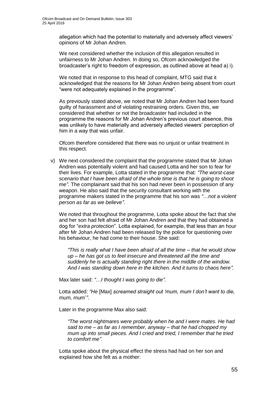allegation which had the potential to materially and adversely affect viewers' opinions of Mr Johan Andren.

We next considered whether the inclusion of this allegation resulted in unfairness to Mr Johan Andren. In doing so, Ofcom acknowledged the broadcaster's right to freedom of expression, as outlined above at head a) i).

We noted that in response to this head of complaint, MTG said that it acknowledged that the reasons for Mr Johan Andren being absent from court "were not adequately explained in the programme".

As previously stated above, we noted that Mr Johan Andren had been found guilty of harassment and of violating restraining orders. Given this, we considered that whether or not the broadcaster had included in the programme the reasons for Mr Johan Andren's previous court absence, this was unlikely to have materially and adversely affected viewers' perception of him in a way that was unfair.

Ofcom therefore considered that there was no unjust or unfair treatment in this respect.

v) We next considered the complaint that the programme stated that Mr Johan Andren was potentially violent and had caused Lotta and her son to fear for their lives. For example, Lotta stated in the programme that: *"The worst-case scenario that I have been afraid of the whole time is that he is going to shoot me"*. The complainant said that his son had never been in possession of any weapon. He also said that the security consultant working with the programme makers stated in the programme that his son was *"*…*not a violent person as far as we believe"*.

We noted that throughout the programme, Lotta spoke about the fact that she and her son had felt afraid of Mr Johan Andren and that they had obtained a dog for "*extra protection*". Lotta explained, for example, that less than an hour after Mr Johan Andren had been released by the police for questioning over his behaviour, he had come to their house. She said:

*"This is really what I have been afraid of all the time – that he would show up – he has got us to feel insecure and threatened all the time and suddenly he is actually standing right there in the middle of the window. And I was standing down here in the kitchen. And it turns to chaos here".*

Max later said: *"*…*I thought I was going to die"*.

Lotta added: *"He* [Max] *screamed straight out 'mum, mum I don't want to die, mum, mum*'*"*.

Later in the programme Max also said:

*"The worst nightmares were probably when he and I were mates. He had said to me – as far as I remember, anyway – that he had chopped my mum up into small pieces. And I cried and tried, I remember that he tried to comfort me"*.

Lotta spoke about the physical effect the stress had had on her son and explained how she felt as a mother: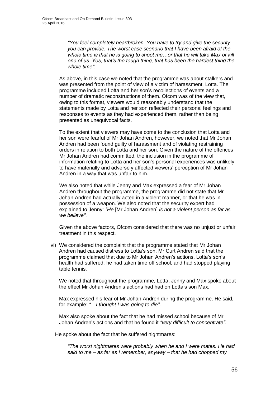*"You feel completely heartbroken. You have to try and give the security you can provide. The worst case scenario that I have been afraid of the*  whole time is that he is going to shoot me...or that he will take Max or kill *one of us. Yes, that's the tough thing, that has been the hardest thing the whole time".*

As above, in this case we noted that the programme was about stalkers and was presented from the point of view of a victim of harassment, Lotta. The programme included Lotta and her son's recollections of events and a number of dramatic reconstructions of them. Ofcom was of the view that, owing to this format, viewers would reasonably understand that the statements made by Lotta and her son reflected their personal feelings and responses to events as they had experienced them, rather than being presented as unequivocal facts.

To the extent that viewers may have come to the conclusion that Lotta and her son were fearful of Mr Johan Andren, however, we noted that Mr Johan Andren had been found guilty of harassment and of violating restraining orders in relation to both Lotta and her son. Given the nature of the offences Mr Johan Andren had committed, the inclusion in the programme of information relating to Lotta and her son's personal experiences was unlikely to have materially and adversely affected viewers' perception of Mr Johan Andren in a way that was unfair to him.

We also noted that while Jenny and Max expressed a fear of Mr Johan Andren throughout the programme, the programme did not state that Mr Johan Andren had actually acted in a violent manner, or that he was in possession of a weapon. We also noted that the security expert had explained to Jenny: *"He* [Mr Johan Andren] *is not a violent person as far as we believe"*.

Given the above factors, Ofcom considered that there was no unjust or unfair treatment in this respect.

vi) We considered the complaint that the programme stated that Mr Johan Andren had caused distress to Lotta's son. Mr Curt Andren said that the programme claimed that due to Mr Johan Andren's actions, Lotta's son's health had suffered, he had taken time off school, and had stopped playing table tennis.

We noted that throughout the programme, Lotta, Jenny and Max spoke about the effect Mr Johan Andren's actions had had on Lotta's son Max.

Max expressed his fear of Mr Johan Andren during the programme. He said, for example: *"*…*I thought I was going to die"*.

Max also spoke about the fact that he had missed school because of Mr Johan Andren's actions and that he found it *"very difficult to concentrate"*.

He spoke about the fact that he suffered nightmares:

*"The worst nightmares were probably when he and I were mates. He had said to me – as far as I remember, anyway – that he had chopped my*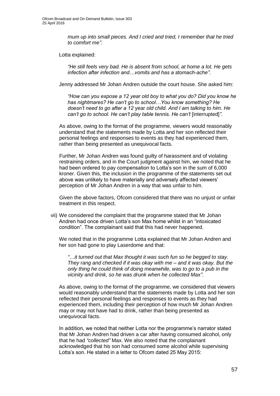*mum up into small pieces. And I cried and tried, I remember that he tried to comfort me"*.

Lotta explained:

*"He still feels very bad. He is absent from school, at home a lot. He gets infection after infection and…vomits and has a stomach-ache"*.

Jenny addressed Mr Johan Andren outside the court house. She asked him:

*"How can you expose a 12 year old boy to what you do? Did you know he has nightmares? He can't go to school…You know something? He doesn't need to go after a 12* year *old child. And I am talking to him. He can't go to school. He can't play table tennis. He can't* [interrupted]*"*.

As above, owing to the format of the programme, viewers would reasonably understand that the statements made by Lotta and her son reflected their personal feelings and responses to events as they had experienced them, rather than being presented as unequivocal facts.

Further, Mr Johan Andren was found guilty of harassment and of violating restraining orders, and in the Court judgment against him, we noted that he had been ordered to pay compensation to Lotta's son in the sum of 6,000 kroner. Given this, the inclusion in the programme of the statements set out above was unlikely to have materially and adversely affected viewers' perception of Mr Johan Andren in a way that was unfair to him.

Given the above factors, Ofcom considered that there was no unjust or unfair treatment in this respect.

vii) We considered the complaint that the programme stated that Mr Johan Andren had once driven Lotta's son Max home whilst in an "intoxicated condition". The complainant said that this had never happened.

We noted that in the programme Lotta explained that Mr Johan Andren and her son had gone to play Laserdome and that:

*"*…*it turned out that Max thought it was such fun so he begged to stay. They rang and checked if it was okay with me – and it was okay. But the only thing he could think of doing meanwhile, was to go to a pub in the vicinity and drink, so he was drunk when he collected Max"*.

As above, owing to the format of the programme, we considered that viewers would reasonably understand that the statements made by Lotta and her son reflected their personal feelings and responses to events as they had experienced them, including their perception of how much Mr Johan Andren may or may not have had to drink, rather than being presented as unequivocal facts.

In addition, we noted that neither Lotta nor the programme's narrator stated that Mr Johan Andren had driven a car after having consumed alcohol, only that he had *"collected"* Max. We also noted that the complainant acknowledged that his son had consumed some alcohol while supervising Lotta's son. He stated in a letter to Ofcom dated 25 May 2015: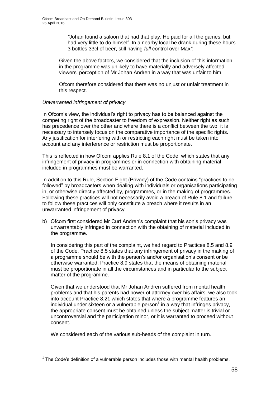*"*Johan found a saloon that had that play. He paid for all the games, but had very little to do himself. In a nearby local he drank during these hours 3 bottles 33cl of beer, still having *full* control over Max*"*.

Given the above factors, we considered that the inclusion of this information in the programme was unlikely to have materially and adversely affected viewers' perception of Mr Johan Andren in a way that was unfair to him.

Ofcom therefore considered that there was no unjust or unfair treatment in this respect.

### *Unwarranted infringement of privacy*

In Ofcom's view, the individual's right to privacy has to be balanced against the competing right of the broadcaster to freedom of expression. Neither right as such has precedence over the other and where there is a conflict between the two, it is necessary to intensely focus on the comparative importance of the specific rights. Any justification for interfering with or restricting each right must be taken into account and any interference or restriction must be proportionate.

This is reflected in how Ofcom applies Rule 8.1 of the Code, which states that any infringement of privacy in programmes or in connection with obtaining material included in programmes must be warranted.

In addition to this Rule, Section Eight (Privacy) of the Code contains "practices to be followed" by broadcasters when dealing with individuals or organisations participating in, or otherwise directly affected by, programmes, or in the making of programmes. Following these practices will not necessarily avoid a breach of Rule 8.1 and failure to follow these practices will only constitute a breach where it results in an unwarranted infringement of privacy.

b) Ofcom first considered Mr Curt Andren's complaint that his son's privacy was unwarrantably infringed in connection with the obtaining of material included in the programme.

In considering this part of the complaint, we had regard to Practices 8.5 and 8.9 of the Code. Practice 8.5 states that any infringement of privacy in the making of a programme should be with the person's and/or organisation's consent or be otherwise warranted. Practice 8.9 states that the means of obtaining material must be proportionate in all the circumstances and in particular to the subject matter of the programme.

Given that we understood that Mr Johan Andren suffered from mental health problems and that his parents had power of attorney over his affairs, we also took into account Practice 8.21 which states that where a programme features an individual under sixteen or a vulnerable person $<sup>1</sup>$  in a way that infringes privacy,</sup> the appropriate consent must be obtained unless the subject matter is trivial or uncontroversial and the participation minor, or it is warranted to proceed without consent.

We considered each of the various sub-heads of the complaint in turn.

<sup>1</sup>  $1$  The Code's definition of a vulnerable person includes those with mental health problems.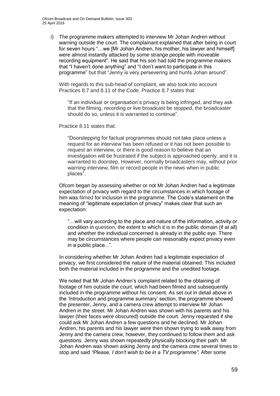i) The programme makers attempted to interview Mr Johan Andren without warning outside the court. The complainant explained that after being in court for seven hours "…we [Mr Johan Andren, his mother, his lawyer and himself] were almost instantly attacked by some strange people with moveable recording equipment". He said that his son had told the programme makers that "I haven't done anything" and "I don't want to participate in this programme" but that "Jenny is very persevering and hunts Johan around".

With regards to this sub-head of complaint, we also took into account Practices 8.7 and 8.11 of the Code. Practice 8.7 states that:

"If an individual or organisation's privacy is being infringed, and they ask that the filming, recording or live broadcast be stopped, the broadcaster should do so, unless it is warranted to continue".

Practice 8.11 states that:

"Doorstepping for factual programmes should not take place unless a request for an interview has been refused or it has not been possible to request an interview, or there is good reason to believe that an investigation will be frustrated if the subject is approached openly, and it is warranted to doorstep. However, normally broadcasters may, without prior warning interview, film or record people in the news when in public places".

Ofcom began by assessing whether or not Mr Johan Andren had a legitimate expectation of privacy with regard to the circumstances in which footage of him was filmed for inclusion in the programme. The Code's statement on the meaning of "legitimate expectation of privacy" makes clear that such an expectation:

"…will vary according to the place and nature of the information, activity or condition in question, the extent to which it is in the public domain (if at all) and whether the individual concerned is already in the public eye. There may be circumstances where people can reasonably expect privacy even in a public place...".

In considering whether Mr Johan Andren had a legitimate expectation of privacy, we first considered the nature of the material obtained. This included both the material included in the programme and the unedited footage.

We noted that Mr Johan Andren's complaint related to the obtaining of footage of him outside the court, which had been filmed and subsequently included in the programme without his consent. As set out in detail above in the 'Introduction and programme summary' section, the programme showed the presenter, Jenny, and a camera crew attempt to interview Mr Johan Andren in the street. Mr Johan Andren was shown with his parents and his lawyer (their faces were obscured) outside the court. Jenny requested if she could ask Mr Johan Andren a few questions and he declined. Mr Johan Andren, his parents and his lawyer were then shown trying to walk away from Jenny and the camera crew, however, they continued to follow them and ask questions. Jenny was shown repeatedly physically blocking their path. Mr Johan Andren was shown asking Jenny and the camera crew several times to stop and said *"Please, I don't wish to be in a TV programme"*. After some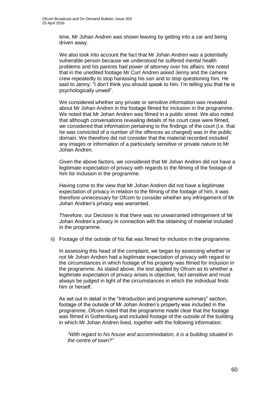time, Mr Johan Andren was shown leaving by getting into a car and being driven away.

We also took into account the fact that Mr Johan Andren was a potentially vulnerable person because we understood he suffered mental health problems and his parents had power of attorney over his affairs. We noted that in the unedited footage Mr Curt Andren asked Jenny and the camera crew repeatedly to stop harassing his son and to stop questioning him. He said to Jenny: "I don't think you should speak to him. I'm telling you that he is psychologically unwell".

We considered whether any private or sensitive information was revealed about Mr Johan Andren in the footage filmed for inclusion in the programme. We noted that Mr Johan Andren was filmed in a public street. We also noted that although conversations revealing details of his court case were filmed, we considered that information pertaining to the findings of the court (i.e. that he was convicted of a number of the offences as charged) was in the public domain. We therefore did not consider that the material recorded included any images or information of a particularly sensitive or private nature to Mr Johan Andren.

Given the above factors, we considered that Mr Johan Andren did not have a legitimate expectation of privacy with regards to the filming of the footage of him for inclusion in the programme.

Having come to the view that Mr Johan Andren did not have a legitimate expectation of privacy in relation to the filming of the footage of him, it was therefore unnecessary for Ofcom to consider whether any infringement of Mr Johan Andren's privacy was warranted.

Therefore, our Decision is that there was no unwarranted infringement of Mr Johan Andren's privacy in connection with the obtaining of material included in the programme.

ii) Footage of the outside of his flat was filmed for inclusion in the programme.

In assessing this head of the complaint, we began by assessing whether or not Mr Johan Andren had a legitimate expectation of privacy with regard to the circumstances in which footage of his property was filmed for inclusion in the programme. As stated above, the test applied by Ofcom as to whether a legitimate expectation of privacy arises is objective, fact sensitive and must always be judged in light of the circumstances in which the individual finds him or herself.

As set out in detail in the "Introduction and programme summary" section, footage of the outside of Mr Johan Andren's property was included in the programme. Ofcom noted that the programme made clear that the footage was filmed in Gothenburg and included footage of the outside of the building in which Mr Johan Andren lived, together with the following information:

*"With regard to his house and accommodation, it is a building situated in the centre of town?"*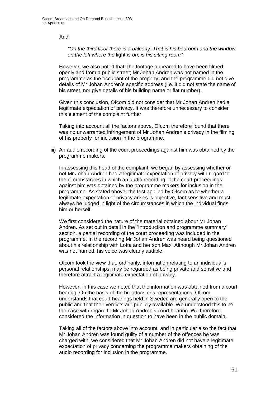And:

*"On the third floor there is a balcony. That is his bedroom and the window on the left where the* light *is on, is his sitting room"*.

However, we also noted that: the footage appeared to have been filmed openly and from a public street; Mr Johan Andren was not named in the programme as the occupant of the property; and the programme did not give details of Mr Johan Andren's specific address (i.e. it did not state the name of his street, nor give details of his building name or flat number).

Given this conclusion, Ofcom did not consider that Mr Johan Andren had a legitimate expectation of privacy. It was therefore unnecessary to consider this element of the complaint further.

Taking into account all the factors above, Ofcom therefore found that there was no unwarranted infringement of Mr Johan Andren's privacy in the filming of his property for inclusion in the programme.

iii) An audio recording of the court proceedings against him was obtained by the programme makers.

In assessing this head of the complaint, we began by assessing whether or not Mr Johan Andren had a legitimate expectation of privacy with regard to the circumstances in which an audio recording of the court proceedings against him was obtained by the programme makers for inclusion in the programme. As stated above, the test applied by Ofcom as to whether a legitimate expectation of privacy arises is objective, fact sensitive and must always be judged in light of the circumstances in which the individual finds him or herself.

We first considered the nature of the material obtained about Mr Johan Andren. As set out in detail in the "Introduction and programme summary" section, a partial recording of the court proceeding was included in the programme. In the recording Mr Johan Andren was heard being questioned about his relationship with Lotta and her son Max. Although Mr Johan Andren was not named, his voice was clearly audible.

Ofcom took the view that, ordinarily, information relating to an individual's personal relationships, may be regarded as being private and sensitive and therefore attract a legitimate expectation of privacy.

However, in this case we noted that the information was obtained from a court hearing. On the basis of the broadcaster's representations, Ofcom understands that court hearings held in Sweden are generally open to the public and that their verdicts are publicly available. We understood this to be the case with regard to Mr Johan Andren's court hearing. We therefore considered the information in question to have been in the public domain.

Taking all of the factors above into account, and in particular also the fact that Mr Johan Andren was found guilty of a number of the offences he was charged with, we considered that Mr Johan Andren did not have a legitimate expectation of privacy concerning the programme makers obtaining of the audio recording for inclusion in the programme.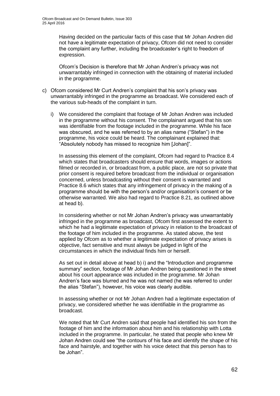Having decided on the particular facts of this case that Mr Johan Andren did not have a legitimate expectation of privacy, Ofcom did not need to consider the complaint any further, including the broadcaster's right to freedom of expression.

Ofcom's Decision is therefore that Mr Johan Andren's privacy was not unwarrantably infringed in connection with the obtaining of material included in the programme.

- c) Ofcom considered Mr Curt Andren's complaint that his son's privacy was unwarrantably infringed in the programme as broadcast. We considered each of the various sub-heads of the complaint in turn.
	- i) We considered the complaint that footage of Mr Johan Andren was included in the programme without his consent. The complainant argued that his son was identifiable from the footage included in the programme. While his face was obscured, and he was referred to by an alias name ("Stefan") in the programme, his voice could be heard. The complainant explained that: "Absolutely nobody has missed to recognize him [Johan]".

In assessing this element of the complaint, Ofcom had regard to Practice 8.4 which states that broadcasters should ensure that words, images or actions filmed or recorded in, or broadcast from, a public place, are not so private that prior consent is required before broadcast from the individual or organisation concerned, unless broadcasting without their consent is warranted and Practice 8.6 which states that any infringement of privacy in the making of a programme should be with the person's and/or organisation's consent or be otherwise warranted. We also had regard to Practice 8.21, as outlined above at head b).

In considering whether or not Mr Johan Andren's privacy was unwarrantably infringed in the programme as broadcast, Ofcom first assessed the extent to which he had a legitimate expectation of privacy in relation to the broadcast of the footage of him included in the programme. As stated above, the test applied by Ofcom as to whether a legitimate expectation of privacy arises is objective, fact sensitive and must always be judged in light of the circumstances in which the individual finds him or herself.

As set out in detail above at head b) i) and the "Introduction and programme summary" section, footage of Mr Johan Andren being questioned in the street about his court appearance was included in the programme. Mr Johan Andren's face was blurred and he was not named (he was referred to under the alias "Stefan"), however, his voice was clearly audible.

In assessing whether or not Mr Johan Andren had a legitimate expectation of privacy, we considered whether he was identifiable in the programme as broadcast.

We noted that Mr Curt Andren said that people had identified his son from the footage of him and the information about him and his relationship with Lotta included in the programme. In particular, he stated that people who knew Mr Johan Andren could see "the contours of his face and identify the shape of his face and hairstyle, and together with his voice detect that this person has to be Johan".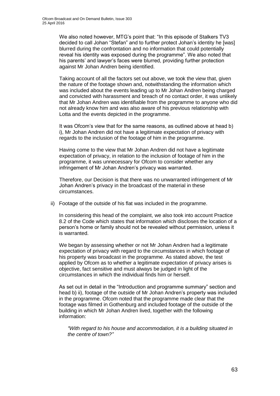We also noted however, MTG's point that: "In this episode of Stalkers TV3 decided to call Johan "Stefan" and to further protect Johan's identity he [was] blurred during the confrontation and no information that could potentially reveal his identity was exposed during the programme". We also noted that his parents' and lawyer's faces were blurred, providing further protection against Mr Johan Andren being identified.

Taking account of all the factors set out above, we took the view that, given the nature of the footage shown and, notwithstanding the information which was included about the events leading up to Mr Johan Andren being charged and convicted with harassment and breach of no contact order, it was unlikely that Mr Johan Andren was identifiable from the programme to anyone who did not already know him and was also aware of his previous relationship with Lotta and the events depicted in the programme.

It was Ofcom's view that for the same reasons, as outlined above at head b) i), Mr Johan Andren did not have a legitimate expectation of privacy with regards to the inclusion of the footage of him in the programme.

Having come to the view that Mr Johan Andren did not have a legitimate expectation of privacy, in relation to the inclusion of footage of him in the programme, it was unnecessary for Ofcom to consider whether any infringement of Mr Johan Andren's privacy was warranted.

Therefore, our Decision is that there was no unwarranted infringement of Mr Johan Andren's privacy in the broadcast of the material in these circumstances.

ii) Footage of the outside of his flat was included in the programme.

In considering this head of the complaint, we also took into account Practice 8.2 of the Code which states that information which discloses the location of a person's home or family should not be revealed without permission, unless it is warranted.

We began by assessing whether or not Mr Johan Andren had a legitimate expectation of privacy with regard to the circumstances in which footage of his property was broadcast in the programme. As stated above, the test applied by Ofcom as to whether a legitimate expectation of privacy arises is objective, fact sensitive and must always be judged in light of the circumstances in which the individual finds him or herself.

As set out in detail in the "Introduction and programme summary" section and head b) ii), footage of the outside of Mr Johan Andren's property was included in the programme. Ofcom noted that the programme made clear that the footage was filmed in Gothenburg and included footage of the outside of the building in which Mr Johan Andren lived, together with the following information:

*"With regard to his house and accommodation, it is a building situated in the centre of town?"*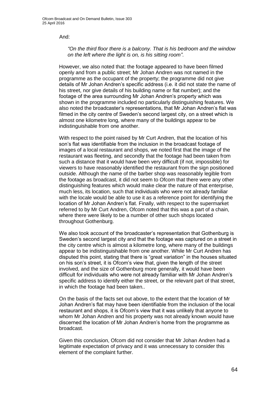And:

#### *"On the third floor there is a balcony. That is his bedroom and the window on the left where the light is on, is his sitting room"*.

However, we also noted that: the footage appeared to have been filmed openly and from a public street; Mr Johan Andren was not named in the programme as the occupant of the property; the programme did not give details of Mr Johan Andren's specific address (i.e. it did not state the name of his street, nor give details of his building name or flat number); and the footage of the area surrounding Mr Johan Andren's property which was shown in the programme included no particularly distinguishing features. We also noted the broadcaster's representations, that Mr Johan Andren's flat was filmed in the city centre of Sweden's second largest city, on a street which is almost one kilometre long, where many of the buildings appear to be indistinguishable from one another.

With respect to the point raised by Mr Curt Andren, that the location of his son's flat was identifiable from the inclusion in the broadcast footage of images of a local restaurant and shops, we noted first that the image of the restaurant was fleeting, and secondly that the footage had been taken from such a distance that it would have been very difficult (if not, impossible) for viewers to have reasonably identified the restaurant from the sign positioned outside. Although the name of the barber shop was reasonably legible from the footage as broadcast, it did not seem to Ofcom that there were any other distinguishing features which would make clear the nature of that enterprise, much less, its location, such that individuals who were not already familiar with the locale would be able to use it as a reference point for identifying the location of Mr Johan Andren's flat. Finally, with respect to the supermarket referred to by Mr Curt Andren, Ofcom noted that this was a part of a chain, where there were likely to be a number of other such shops located throughout Gothenburg.

We also took account of the broadcaster's representation that Gothenburg is Sweden's second largest city and that the footage was captured on a street in the city centre which is almost a kilometre long, where many of the buildings appear to be indistinguishable from one another. While Mr Curt Andren has disputed this point, stating that there is "great variation" in the houses situated on his son's street, it is Ofcom's view that, given the length of the street involved, and the size of Gothenburg more generally, it would have been difficult for individuals who were not already familiar with Mr Johan Andren's specific address to identify either the street, or the relevant part of that street, in which the footage had been taken..

On the basis of the facts set out above, to the extent that the location of Mr Johan Andren's flat may have been identifiable from the inclusion of the local restaurant and shops, it is Ofcom's view that it was unlikely that anyone to whom Mr Johan Andren and his property was not already known would have discerned the location of Mr Johan Andren's home from the programme as broadcast.

Given this conclusion, Ofcom did not consider that Mr Johan Andren had a legitimate expectation of privacy and it was unnecessary to consider this element of the complaint further.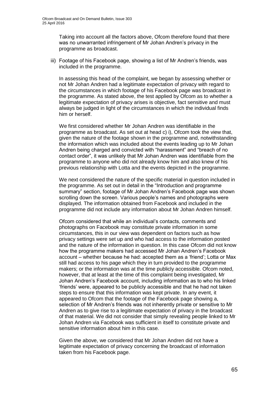Taking into account all the factors above, Ofcom therefore found that there was no unwarranted infringement of Mr Johan Andren's privacy in the programme as broadcast.

iii) Footage of his Facebook page, showing a list of Mr Andren's friends, was included in the programme.

In assessing this head of the complaint, we began by assessing whether or not Mr Johan Andren had a legitimate expectation of privacy with regard to the circumstances in which footage of his Facebook page was broadcast in the programme. As stated above, the test applied by Ofcom as to whether a legitimate expectation of privacy arises is objective, fact sensitive and must always be judged in light of the circumstances in which the individual finds him or herself.

We first considered whether Mr Johan Andren was identifiable in the programme as broadcast. As set out at head c) i), Ofcom took the view that, given the nature of the footage shown in the programme and, notwithstanding the information which was included about the events leading up to Mr Johan Andren being charged and convicted with "harassment" and "breach of no contact order", it was unlikely that Mr Johan Andren was identifiable from the programme to anyone who did not already know him and also knew of his previous relationship with Lotta and the events depicted in the programme.

We next considered the nature of the specific material in question included in the programme. As set out in detail in the "Introduction and programme summary" section, footage of Mr Johan Andren's Facebook page was shown scrolling down the screen. Various people's names and photographs were displayed. The information obtained from Facebook and included in the programme did not include any information about Mr Johan Andren himself.

Ofcom considered that while an individual's contacts, comments and photographs on Facebook may constitute private information in some circumstances, this in our view was dependent on factors such as how privacy settings were set up and who had access to the information posted and the nature of the information in question. In this case Ofcom did not know how the programme makers had accessed Mr Johan Andren's Facebook account – whether because he had: accepted them as a 'friend'; Lotta or Max still had access to his page which they in turn provided to the programme makers; or the information was at the time publicly accessible. Ofcom noted, however, that at least at the time of this complaint being investigated, Mr Johan Andren's Facebook account, including information as to who his linked 'friends' were, appeared to be publicly accessible and that he had not taken steps to ensure that this information was kept private. In any event, it appeared to Ofcom that the footage of the Facebook page showing a, selection of Mr Andren's friends was not inherently private or sensitive to Mr Andren as to give rise to a legitimate expectation of privacy in the broadcast of that material. We did not consider that simply revealing people linked to Mr Johan Andren via Facebook was sufficient in itself to constitute private and sensitive information about him in this case.

Given the above, we considered that Mr Johan Andren did not have a legitimate expectation of privacy concerning the broadcast of information taken from his Facebook page.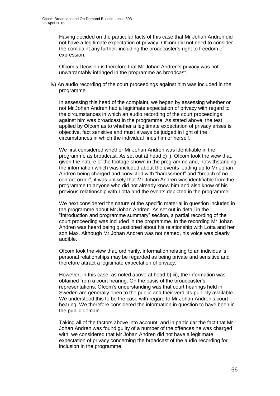Having decided on the particular facts of this case that Mr Johan Andren did not have a legitimate expectation of privacy, Ofcom did not need to consider the complaint any further, including the broadcaster's right to freedom of expression.

Ofcom's Decision is therefore that Mr Johan Andren's privacy was not unwarrantably infringed in the programme as broadcast.

iv) An audio recording of the court proceedings against him was included in the programme.

In assessing this head of the complaint, we began by assessing whether or not Mr Johan Andren had a legitimate expectation of privacy with regard to the circumstances in which an audio recording of the court proceedings against him was broadcast in the programme. As stated above, the test applied by Ofcom as to whether a legitimate expectation of privacy arises is objective, fact sensitive and must always be judged in light of the circumstances in which the individual finds him or herself.

We first considered whether Mr Johan Andren was identifiable in the programme as broadcast. As set out at head c) i), Ofcom took the view that, given the nature of the footage shown in the programme and, notwithstanding the information which was included about the events leading up to Mr Johan Andren being charged and convicted with "harassment" and "breach of no contact order", it was unlikely that Mr Johan Andren was identifiable from the programme to anyone who did not already know him and also know of his previous relationship with Lotta and the events depicted in the programme.

We next considered the nature of the specific material in question included in the programme about Mr Johan Andren. As set out in detail in the "Introduction and programme summary" section, a partial recording of the court proceeding was included in the programme. In the recording Mr Johan Andren was heard being questioned about his relationship with Lotta and her son Max. Although Mr Johan Andren was not named, his voice was clearly audible.

Ofcom took the view that, ordinarily, information relating to an individual's personal relationships may be regarded as being private and sensitive and therefore attract a legitimate expectation of privacy.

However, in this case, as noted above at head b) iii), the information was obtained from a court hearing. On the basis of the broadcaster's representations, Ofcom's understanding was that court hearings held in Sweden are generally open to the public and their verdicts publicly available. We understood this to be the case with regard to Mr Johan Andren's court hearing. We therefore considered the information in question to have been in the public domain.

Taking all of the factors above into account, and in particular the fact that Mr Johan Andren was found guilty of a number of the offences he was charged with, we considered that Mr Johan Andren did not have a legitimate expectation of privacy concerning the broadcast of the audio recording for inclusion in the programme.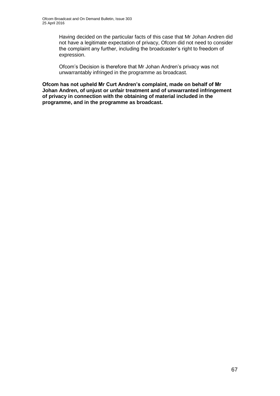Having decided on the particular facts of this case that Mr Johan Andren did not have a legitimate expectation of privacy, Ofcom did not need to consider the complaint any further, including the broadcaster's right to freedom of expression.

Ofcom's Decision is therefore that Mr Johan Andren's privacy was not unwarrantably infringed in the programme as broadcast.

**Ofcom has not upheld Mr Curt Andren's complaint, made on behalf of Mr Johan Andren, of unjust or unfair treatment and of unwarranted infringement of privacy in connection with the obtaining of material included in the programme, and in the programme as broadcast.**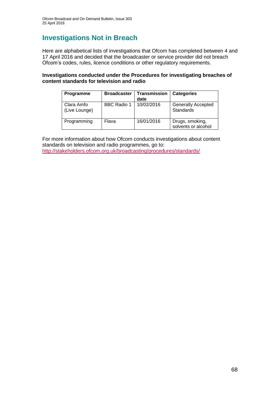# **Investigations Not in Breach**

Here are alphabetical lists of investigations that Ofcom has completed between 4 and 17 April 2016 and decided that the broadcaster or service provider did not breach Ofcom's codes, rules, licence conditions or other regulatory requirements.

#### **Investigations conducted under the Procedures for investigating breaches of content standards for television and radio**

| Programme                   | <b>Broadcaster</b> | <b>Transmission</b><br>date | <b>Categories</b>                      |
|-----------------------------|--------------------|-----------------------------|----------------------------------------|
| Clara Amfo<br>(Live Lounge) | BBC Radio 1        | 10/02/2016                  | <b>Generally Accepted</b><br>Standards |
| Programming                 | Flava              | 16/01/2016                  | Drugs, smoking,<br>solvents or alcohol |

For more information about how Ofcom conducts investigations about content standards on television and radio programmes, go to: <http://stakeholders.ofcom.org.uk/broadcasting/procedures/standards/>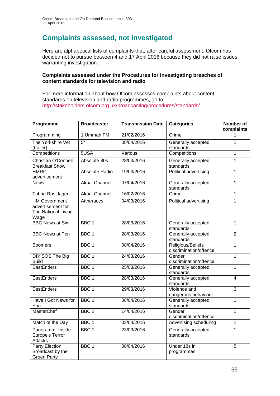# **Complaints assessed, not investigated**

Here are alphabetical lists of complaints that, after careful assessment, Ofcom has decided not to pursue between 4 and 17 April 2016 because they did not raise issues warranting investigation.

#### **Complaints assessed under the Procedures for investigating breaches of content standards for television and radio**

For more information about how Ofcom assesses complaints about content standards on television and radio programmes, go to: <http://stakeholders.ofcom.org.uk/broadcasting/procedures/standards/>

| Programme                                                                | <b>Broadcaster</b>    | <b>Transmission Date</b> | <b>Categories</b>                           | Number of<br>complaints |
|--------------------------------------------------------------------------|-----------------------|--------------------------|---------------------------------------------|-------------------------|
| Programming                                                              | 1 Ummah FM            | 21/02/2016               | Crime                                       | 1                       |
| The Yorkshire Vet<br>(trailer)                                           | $5*$                  | 08/04/2016               | Generally accepted<br>standards             | 1                       |
| Competitions                                                             | 5USA                  | Various                  | Competitions                                | $\overline{1}$          |
| <b>Christian O'Connell</b><br><b>Breakfast Show</b>                      | Absolute 80s          | 28/03/2016               | Generally accepted<br>standards             | $\mathbf{1}$            |
| <b>HMRC</b><br>advertisement                                             | <b>Absolute Radio</b> | 19/03/2016               | Political advertising                       | $\overline{1}$          |
| <b>News</b>                                                              | <b>Akaal Channel</b>  | 07/04/2016               | Generally accepted<br>standards             | $\mathbf{1}$            |
| Tabhe Ros Jageo                                                          | <b>Akaal Channel</b>  | 16/02/2016               | Crime                                       | $\overline{1}$          |
| <b>HM Government</b><br>advertisement for<br>The National Living<br>Wage | Attheraces            | 04/03/2016               | Political advertising                       | $\mathbf{1}$            |
| <b>BBC News at Six</b>                                                   | BBC <sub>1</sub>      | 28/03/2016               | Generally accepted<br>standards             | $\mathbf{1}$            |
| <b>BBC News at Ten</b>                                                   | BBC <sub>1</sub>      | 28/03/2016               | Generally accepted<br>standards             | $\overline{2}$          |
| <b>Boomers</b>                                                           | BBC <sub>1</sub>      | 08/04/2016               | Religious/Beliefs<br>discrimination/offence | 1                       |
| DIY SOS The Big<br><b>Build</b>                                          | BBC <sub>1</sub>      | 24/03/2016               | Gender<br>discrimination/offence            | $\overline{1}$          |
| EastEnders                                                               | BBC <sub>1</sub>      | 25/03/2016               | Generally accepted<br>standards             | $\mathbf{1}$            |
| EastEnders                                                               | BBC <sub>1</sub>      | 28/03/2016               | Generally accepted<br>standards             | $\overline{4}$          |
| EastEnders                                                               | BBC <sub>1</sub>      | 29/03/2016               | Violence and<br>dangerous behaviour         | $\overline{3}$          |
| Have I Got News for<br>You                                               | BBC <sub>1</sub>      | 08/04/2016               | Generally accepted<br>standards             | $\mathbf{1}$            |
| <b>MasterChef</b>                                                        | BBC <sub>1</sub>      | 14/04/2016               | Gender<br>discrimination/offence            | $\overline{1}$          |
| Match of the Day                                                         | BBC <sub>1</sub>      | 03/04/2016               | Advertising scheduling                      | $\mathbf{1}$            |
| Panorama - Inside<br>Europe's Terror<br><b>Attacks</b>                   | BBC <sub>1</sub>      | 23/03/2016               | Generally accepted<br>standards             | $\overline{1}$          |
| <b>Party Election</b><br>Broadcast by the<br><b>Green Party</b>          | BBC <sub>1</sub>      | 08/04/2016               | Under 18s in<br>programmes                  | 5                       |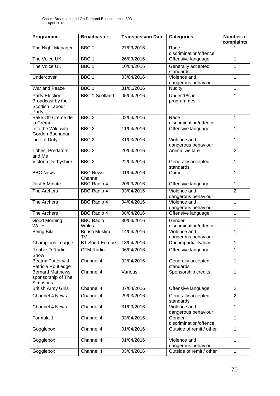| Programme                                                             | <b>Broadcaster</b>          | <b>Transmission Date</b> | <b>Categories</b>                   | <b>Number of</b><br>complaints |
|-----------------------------------------------------------------------|-----------------------------|--------------------------|-------------------------------------|--------------------------------|
| The Night Manager                                                     | BBC <sub>1</sub>            | 27/03/2016               | Race<br>discrimination/offence      | 1                              |
| The Voice UK                                                          | BBC <sub>1</sub>            | 26/03/2016               | Offensive language                  | 1                              |
| The Voice UK                                                          | BBC <sub>1</sub>            | 10/04/2016               | Generally accepted<br>standards     | 1                              |
| Undercover                                                            | BBC <sub>1</sub>            | 03/04/2016               | Violence and<br>dangerous behaviour | $\mathbf{1}$                   |
| War and Peace                                                         | BBC <sub>1</sub>            | 31/01/2016               | <b>Nudity</b>                       | 1                              |
| Party Election<br>Broadcast by the<br><b>Scottish Labour</b><br>Party | <b>BBC 1 Scotland</b>       | 05/04/2016               | Under 18s in<br>programmes          | 1                              |
| Bake Off Crème de<br>la Crème                                         | BBC <sub>2</sub>            | 02/04/2016               | Race<br>discrimination/offence      | 1                              |
| Into the Wild with<br>Gordon Buchanan                                 | BBC <sub>2</sub>            | 11/04/2016               | Offensive language                  | 1                              |
| Line of Duty                                                          | BBC <sub>2</sub>            | 31/03/2016               | Violence and<br>dangerous behaviour | 1                              |
| <b>Tribes, Predators</b><br>and Me                                    | BBC <sub>2</sub>            | 20/03/2016               | Animal welfare                      | $\overline{2}$                 |
| Victoria Derbyshire                                                   | BBC <sub>2</sub>            | 22/03/2016               | Generally accepted<br>standards     | $\mathbf{1}$                   |
| <b>BBC News</b>                                                       | <b>BBC News</b><br>Channel  | 01/04/2016               | Crime                               | $\mathbf{1}$                   |
| <b>Just A Minute</b>                                                  | <b>BBC Radio 4</b>          | 20/03/2016               | Offensive language                  | 1                              |
| The Archers                                                           | <b>BBC Radio 4</b>          | 03/04/2016               | Violence and<br>dangerous behaviour | $\overline{2}$                 |
| The Archers                                                           | <b>BBC Radio 4</b>          | 04/04/2016               | Violence and<br>dangerous behaviour | $\mathbf{1}$                   |
| The Archers                                                           | <b>BBC Radio 4</b>          | 08/04/2016               | Offensive language                  | $\mathbf{1}$                   |
| Good Morning<br>Wales                                                 | <b>BBC Radio</b><br>Wales   | 30/03/2016               | Gender<br>discrimination/offence    | $\mathbf{1}$                   |
| <b>Being Bilal</b>                                                    | <b>British Muslim</b><br>TV | 14/04/2016               | Violence and<br>dangerous behaviour | 1                              |
| <b>Champions League</b>                                               | <b>BT Sport Europe</b>      | 13/04/2016               | Due impartiality/bias               | 1                              |
| Robbie D Radio<br>Show                                                | <b>CFM Radio</b>            | 06/04/2016               | Offensive language                  | 1                              |
| <b>Beatrix Potter with</b><br>Patricia Routledge                      | Channel 4                   | 02/04/2016               | Generally accepted<br>standards     | 1                              |
| <b>Bernard Matthews'</b><br>sponsorship of The<br>Simpsons            | Channel 4                   | Various                  | Sponsorship credits                 | $\mathbf{1}$                   |
| <b>British Army Girls</b>                                             | Channel 4                   | 07/04/2016               | Offensive language                  | $\overline{2}$                 |
| Channel 4 News                                                        | Channel 4                   | 29/03/2016               | Generally accepted<br>standards     | $\overline{2}$                 |
| Channel 4 News                                                        | Channel 4                   | 31/03/2016               | Violence and<br>dangerous behaviour | 1                              |
| Formula 1                                                             | Channel 4                   | 03/04/2016               | Gender<br>discrimination/offence    | $\mathbf{1}$                   |
| Gogglebox                                                             | Channel 4                   | 01/04/2016               | Outside of remit / other            | 1                              |
| Gogglebox                                                             | Channel 4                   | 01/04/2016               | Violence and<br>dangerous behaviour | 1                              |
| Gogglebox                                                             | Channel 4                   | 03/04/2016               | Outside of remit / other            | $\mathbf{1}$                   |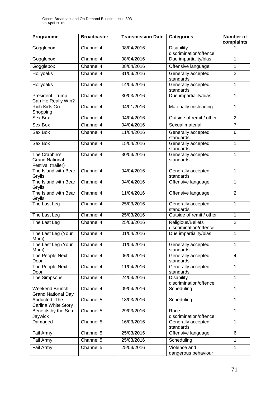| Programme                                                    | <b>Broadcaster</b> | <b>Transmission Date</b> | <b>Categories</b>                           | Number of<br>complaints |
|--------------------------------------------------------------|--------------------|--------------------------|---------------------------------------------|-------------------------|
| Gogglebox                                                    | Channel 4          | 08/04/2016               | <b>Disability</b><br>discrimination/offence | 1                       |
| Gogglebox                                                    | Channel 4          | 08/04/2016               | Due impartiality/bias                       | 1                       |
| Gogglebox                                                    | Channel 4          | 08/04/2016               | Offensive language                          | 1                       |
| Hollyoaks                                                    | Channel 4          | 31/03/2016               | Generally accepted<br>standards             | $\overline{2}$          |
| Hollyoaks                                                    | Channel 4          | 14/04/2016               | Generally accepted<br>standards             | $\mathbf{1}$            |
| President Trump:<br>Can He Really Win?                       | Channel 4          | 30/03/2016               | Due impartiality/bias                       | $\mathbf{1}$            |
| Rich Kids Go<br>Shopping                                     | Channel 4          | 04/01/2016               | Materially misleading                       | 1                       |
| Sex Box                                                      | Channel 4          | 04/04/2016               | Outside of remit / other                    | $\overline{2}$          |
| Sex Box                                                      | Channel 4          | 04/04/2016               | Sexual material                             | $\overline{7}$          |
| Sex Box                                                      | Channel 4          | 11/04/2016               | Generally accepted<br>standards             | 6                       |
| Sex Box                                                      | Channel 4          | 15/04/2016               | Generally accepted<br>standards             | $\mathbf{1}$            |
| The Crabbie's<br><b>Grand National</b><br>Festival (trailer) | Channel 4          | 30/03/2016               | Generally accepted<br>standards             | 1                       |
| The Island with Bear<br>Grylls                               | Channel 4          | 04/04/2016               | Generally accepted<br>standards             | 1                       |
| The Island with Bear<br>Grylls                               | Channel 4          | 04/04/2016               | Offensive language                          | 1                       |
| The Island with Bear<br>Grylls                               | Channel 4          | 11/04/2016               | Offensive language                          | $\overline{2}$          |
| The Last Leg                                                 | Channel 4          | 25/03/2016               | Generally accepted<br>standards             | 1                       |
| The Last Leg                                                 | Channel 4          | 25/03/2016               | Outside of remit / other                    | 1                       |
| The Last Leg                                                 | Channel 4          | 25/03/2016               | Religious/Beliefs<br>discrimination/offence | $\overline{2}$          |
| The Last Leg (Your<br>Mum)                                   | Channel 4          | 01/04/2016               | Due impartiality/bias                       | 1                       |
| The Last Leg (Your<br>Mum)                                   | Channel 4          | 01/04/2016               | Generally accepted<br>standards             | 1                       |
| The People Next<br>Door                                      | Channel 4          | 06/04/2016               | Generally accepted<br>standards             | $\overline{4}$          |
| The People Next<br>Door                                      | Channel 4          | 11/04/2016               | Generally accepted<br>standards             | 1                       |
| The Simpsons                                                 | Channel 4          | 24/03/2016               | <b>Disability</b><br>discrimination/offence | $\mathbf{1}$            |
| Weekend Brunch -<br><b>Grand National Day</b>                | Channel 4          | 09/04/2016               | Scheduling                                  | 1                       |
| Abducted: The<br>Carlina White Story                         | Channel $5$        | 18/03/2016               | Scheduling                                  | $\mathbf{1}$            |
| Benefits by the Sea:<br>Jaywick                              | Channel 5          | 29/03/2016               | Race<br>discrimination/offence              | $\mathbf{1}$            |
| Damaged                                                      | Channel 5          | 16/03/2016               | Generally accepted<br>standards             | $\mathbf{1}$            |
| Fail Army                                                    | Channel 5          | 25/03/2016               | Offensive language                          | 6                       |
| Fail Army                                                    | Channel 5          | 25/03/2016               | Scheduling                                  | 1                       |
| Fail Army                                                    | Channel 5          | 25/03/2016               | Violence and<br>dangerous behaviour         | $\overline{1}$          |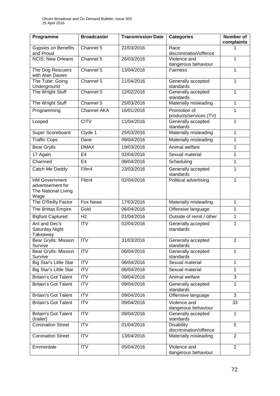| Programme                                                                | <b>Broadcaster</b> | <b>Transmission Date</b> | <b>Categories</b>                           | <b>Number of</b><br>complaints |
|--------------------------------------------------------------------------|--------------------|--------------------------|---------------------------------------------|--------------------------------|
| Gypsies on Benefits<br>and Proud                                         | Channel 5          | 22/03/2016               | Race<br>discrimination/offence              | 1                              |
| <b>NCIS: New Orleans</b>                                                 | Channel 5          | 26/03/2016               | Violence and<br>dangerous behaviour         | 1                              |
| The Dog Rescuers<br>with Alan Davies                                     | Channel 5          | 13/04/2016               | <b>Fairness</b>                             | 1                              |
| The Tube: Going<br>Underground                                           | Channel 5          | 11/04/2016               | Generally accepted<br>standards             | $\mathbf{1}$                   |
| The Wright Stuff                                                         | Channel 5          | 12/02/2016               | Generally accepted<br>standards             | 1                              |
| The Wright Stuff                                                         | Channel 5          | 25/03/2016               | Materially misleading                       | 1                              |
| Programming                                                              | <b>Channel AKA</b> | 16/01/2016               | Promotion of<br>products/services (TV)      | 1                              |
| Looped                                                                   | <b>CITV</b>        | 11/04/2016               | Generally accepted<br>standards             | 1                              |
| <b>Super Scoreboard</b>                                                  | Clyde 1            | 25/03/2016               | Materially misleading                       | 1                              |
| <b>Traffic Cops</b>                                                      | Dave               | 09/04/2016               | Materially misleading                       | 1                              |
| <b>Bear Grylls</b>                                                       | <b>DMAX</b>        | 19/03/2016               | Animal welfare                              | 1                              |
| 17 Again                                                                 | E <sub>4</sub>     | 02/04/2016               | Sexual material                             | 1                              |
| Charmed                                                                  | E <sub>4</sub>     | 08/04/2016               | Scheduling                                  | 1                              |
| Catch Me Daddy                                                           | Film4              | 23/03/2016               | Generally accepted<br>standards             | $\mathbf{1}$                   |
| <b>HM Government</b><br>advertisement for<br>The National Living<br>Wage | Film4              | 02/04/2016               | Political advertising                       | $\mathbf{1}$                   |
| The O'Reilly Factor                                                      | <b>Fox News</b>    | 17/03/2016               | Materially misleading                       | 1                              |
| The Brittas Empire                                                       | Gold               | 06/04/2016               | Offensive language                          | 1                              |
| <b>Bigfoot Captured</b>                                                  | H <sub>2</sub>     | 01/04/2016               | Outside of remit / other                    | 1                              |
| Ant and Dec's<br>Saturday Night<br>Takeaway                              | $\overline{ITV}$   | 02/04/2016               | Generally accepted<br>standards             | 1                              |
| <b>Bear Grylls: Mission</b><br>Survive                                   | $\overline{ITV}$   | 31/03/2016               | Generally accepted<br>standards             | $\overline{2}$                 |
| Bear Grylls: Mission<br>Survive                                          | <b>ITV</b>         | 06/04/2016               | Generally accepted<br>standards             | $\mathbf{1}$                   |
| Big Star's Little Star                                                   | <b>ITV</b>         | 06/04/2016               | Sexual material                             | 1                              |
| Big Star's Little Star                                                   | <b>ITV</b>         | 06/04/2016               | Sexual material                             | 1                              |
| <b>Britain's Got Talent</b>                                              | ITV                | 09/04/2016               | Animal welfare                              | $\overline{3}$                 |
| <b>Britain's Got Talent</b>                                              | <b>ITV</b>         | 09/04/2016               | Generally accepted<br>standards             | 1                              |
| <b>Britain's Got Talent</b>                                              | ITV                | 09/04/2016               | Offensive language                          | $\overline{3}$                 |
| <b>Britain's Got Talent</b>                                              | <b>ITV</b>         | 09/04/2016               | Violence and<br>dangerous behaviour         | 33                             |
| <b>Britain's Got Talent</b><br>(trailer)                                 | $\overline{IV}$    | 09/04/2016               | Generally accepted<br>standards             | $\overline{1}$                 |
| <b>Coronation Street</b>                                                 | <b>ITV</b>         | 01/04/2016               | <b>Disability</b><br>discrimination/offence | 5                              |
| <b>Coronation Street</b>                                                 | <b>ITV</b>         | 13/04/2016               | Materially misleading                       | $\overline{2}$                 |
| Emmerdale                                                                | <b>ITV</b>         | 05/04/2016               | Violence and<br>dangerous behaviour         | $\overline{2}$                 |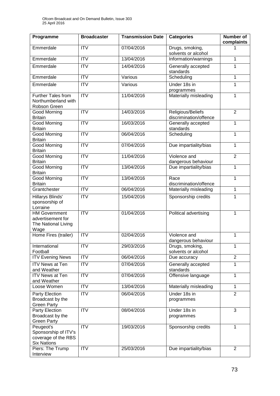| Programme                                                                      | <b>Broadcaster</b>      | <b>Transmission Date</b> | <b>Categories</b>                           | <b>Number of</b><br>complaints |
|--------------------------------------------------------------------------------|-------------------------|--------------------------|---------------------------------------------|--------------------------------|
| Emmerdale                                                                      | <b>ITV</b>              | 07/04/2016               | Drugs, smoking,<br>solvents or alcohol      | 1                              |
| Emmerdale                                                                      | <b>ITV</b>              | 13/04/2016               | Information/warnings                        | 1                              |
| Emmerdale                                                                      | <b>ITV</b>              | 14/04/2016               | Generally accepted<br>standards             | 1                              |
| Emmerdale                                                                      | <b>ITV</b>              | Various                  | Scheduling                                  | 1                              |
| Emmerdale                                                                      | <b>ITV</b>              | Various                  | Under 18s in<br>programmes                  | 1                              |
| <b>Further Tales from</b><br>Northumberland with<br>Robson Green               | <b>ITV</b>              | 11/04/2016               | Materially misleading                       | $\mathbf{1}$                   |
| <b>Good Morning</b><br><b>Britain</b>                                          | $\overline{ITV}$        | 14/03/2016               | Religious/Beliefs<br>discrimination/offence | $\overline{2}$                 |
| Good Morning<br><b>Britain</b>                                                 | <b>ITV</b>              | 16/03/2016               | Generally accepted<br>standards             | 1                              |
| <b>Good Morning</b><br><b>Britain</b>                                          | $\overline{\text{ITV}}$ | 06/04/2016               | Scheduling                                  | 1                              |
| <b>Good Morning</b><br><b>Britain</b>                                          | $\overline{\text{ITV}}$ | 07/04/2016               | Due impartiality/bias                       | $\mathbf{1}$                   |
| Good Morning<br><b>Britain</b>                                                 | $\overline{IV}$         | 11/04/2016               | Violence and<br>dangerous behaviour         | $\overline{2}$                 |
| Good Morning<br><b>Britain</b>                                                 | $\overline{\text{IV}}$  | 13/04/2016               | Due impartiality/bias                       | 1                              |
| Good Morning<br><b>Britain</b>                                                 | $\overline{\text{ITV}}$ | 13/04/2016               | Race<br>discrimination/offence              | $\mathbf{1}$                   |
| Grantchester                                                                   | <b>ITV</b>              | 06/04/2016               | Materially misleading                       | 1                              |
| Hillarys Blinds'<br>sponsorship of<br>Lorraine                                 | <b>ITV</b>              | 15/04/2016               | Sponsorship credits                         | 1                              |
| <b>HM Government</b><br>advertisement for<br>The National Living<br>Wage       | <b>ITV</b>              | 01/04/2016               | Political advertising                       | $\mathbf{1}$                   |
| Home Fires (trailer)                                                           | $\overline{ITV}$        | 02/04/2016               | Violence and<br>dangerous behaviour         | 1                              |
| International<br>Football                                                      | <b>ITV</b>              | 29/03/2016               | Drugs, smoking,<br>solvents or alcohol      | 1                              |
| <b>ITV Evening News</b>                                                        | ITV                     | 06/04/2016               | Due accuracy                                | $\overline{2}$                 |
| <b>ITV News at Ten</b><br>and Weather                                          | <b>ITV</b>              | 07/04/2016               | Generally accepted<br>standards             | 1                              |
| <b>ITV News at Ten</b><br>and Weather                                          | $\overline{\text{ITV}}$ | 07/04/2016               | Offensive language                          | $\mathbf{1}$                   |
| Loose Women                                                                    | <b>ITV</b>              | 13/04/2016               | Materially misleading                       | $\mathbf{1}$                   |
| Party Election<br>Broadcast by the<br><b>Green Party</b>                       | $\overline{IV}$         | 06/04/2016               | Under 18s in<br>programmes                  | $\overline{2}$                 |
| Party Election<br>Broadcast by the<br><b>Green Party</b>                       | <b>ITV</b>              | 08/04/2016               | Under 18s in<br>programmes                  | 3                              |
| Peugeot's<br>Sponsorship of ITV's<br>coverage of the RBS<br><b>Six Nations</b> | <b>ITV</b>              | 19/03/2016               | Sponsorship credits                         | $\mathbf{1}$                   |
| Piers: The Trump<br>Interview                                                  | $\overline{ITV}$        | 25/03/2016               | Due impartiality/bias                       | $\overline{2}$                 |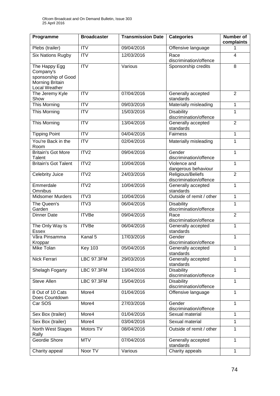| Programme                                                                             | <b>Broadcaster</b>        | <b>Transmission Date</b> | <b>Categories</b>                           | Number of<br>complaints |
|---------------------------------------------------------------------------------------|---------------------------|--------------------------|---------------------------------------------|-------------------------|
| Plebs (trailer)                                                                       | <b>ITV</b>                | 09/04/2016               | Offensive language                          | 1                       |
| <b>Six Nations Rugby</b>                                                              | $\overline{\text{IV}}$    | 12/03/2016               | Race<br>discrimination/offence              | $\overline{\mathbf{4}}$ |
| The Happy Egg<br>Company's<br>sponsorship of Good<br>Morning Britain<br>Local Weather | $\overline{\mathsf{ITV}}$ | Various                  | Sponsorship credits                         | 8                       |
| The Jeremy Kyle<br>Show                                                               | <b>ITV</b>                | 07/04/2016               | Generally accepted<br>standards             | $\overline{2}$          |
| This Morning                                                                          | <b>ITV</b>                | 09/03/2016               | Materially misleading                       | $\mathbf{1}$            |
| This Morning                                                                          | <b>ITV</b>                | 15/03/2016               | <b>Disability</b><br>discrimination/offence | $\mathbf{1}$            |
| This Morning                                                                          | $\overline{\text{IV}}$    | 13/04/2016               | Generally accepted<br>standards             | $\overline{2}$          |
| <b>Tipping Point</b>                                                                  | $\overline{\mathsf{ITV}}$ | 04/04/2016               | Fairness                                    | $\mathbf{1}$            |
| You're Back in the<br>Room                                                            | <b>ITV</b>                | 02/04/2016               | Materially misleading                       | $\mathbf{1}$            |
| <b>Britain's Got More</b><br>Talent                                                   | ITV2                      | 09/04/2016               | Gender<br>discrimination/offence            | $\mathbf{1}$            |
| <b>Britain's Got Talent</b>                                                           | ITV2                      | 10/04/2016               | Violence and<br>dangerous behaviour         | $\mathbf{1}$            |
| Celebrity Juice                                                                       | ITV2                      | 24/03/2016               | Religious/Beliefs<br>discrimination/offence | $\overline{2}$          |
| Emmerdale<br>Omnibus                                                                  | ITV2                      | 10/04/2016               | Generally accepted<br>standards             | $\mathbf{1}$            |
| <b>Midsomer Murders</b>                                                               | ITV3                      | 10/04/2016               | Outside of remit / other                    | $\mathbf{1}$            |
| The Queen's<br>Garden                                                                 | ITV3                      | 06/04/2016               | <b>Disability</b><br>discrimination/offence | $\mathbf{1}$            |
| <b>Dinner Date</b>                                                                    | <b>ITVBe</b>              | 09/04/2016               | Race<br>discrimination/offence              | $\overline{2}$          |
| The Only Way Is<br><b>Essex</b>                                                       | <b>ITVBe</b>              | 06/04/2016               | Generally accepted<br>standards             | $\mathbf{1}$            |
| Våra Pinsamma<br>Kroppar                                                              | Kanal 5                   | 17/03/2016               | Gender<br>discrimination/offence            | $\mathbf{1}$            |
| Mike Tolan                                                                            | <b>Key 103</b>            | 05/04/2016               | Generally accepted<br>standards             | 1                       |
| Nick Ferrari                                                                          | <b>LBC 97.3FM</b>         | 29/03/2016               | Generally accepted<br>standards             | $\mathbf{1}$            |
| Shelagh Fogarty                                                                       | <b>LBC 97.3FM</b>         | 13/04/2016               | <b>Disability</b><br>discrimination/offence | $\mathbf{1}$            |
| Steve Allen                                                                           | <b>LBC 97.3FM</b>         | 15/04/2016               | <b>Disability</b><br>discrimination/offence | 1                       |
| 8 Out of 10 Cats<br>Does Countdown                                                    | More4                     | 01/04/2016               | Offensive language                          | $\mathbf{1}$            |
| Car SOS                                                                               | More4                     | 27/03/2016               | Gender<br>discrimination/offence            | 1                       |
| Sex Box (trailer)                                                                     | More4                     | 01/04/2016               | Sexual material                             | $\mathbf{1}$            |
| Sex Box (trailer)                                                                     | More4                     | 03/04/2016               | Sexual material                             | 1                       |
| North West Stages<br>Rally                                                            | Motors TV                 | 08/04/2016               | Outside of remit / other                    | $\mathbf{1}$            |
| Geordie Shore                                                                         | <b>MTV</b>                | 07/04/2016               | Generally accepted<br>standards             | $\mathbf{1}$            |
| Charity appeal                                                                        | Noor TV                   | Various                  | Charity appeals                             | $\mathbf{1}$            |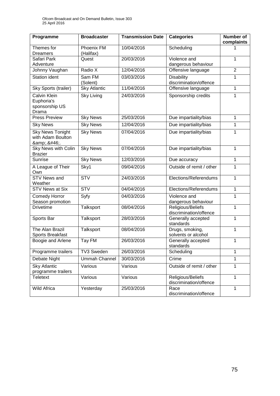| Programme                                             | <b>Broadcaster</b>      | <b>Transmission Date</b> | <b>Categories</b>                           | Number of<br>complaints |
|-------------------------------------------------------|-------------------------|--------------------------|---------------------------------------------|-------------------------|
| Themes for<br><b>Dreamers</b>                         | Phoenix FM<br>(Halifax) | 10/04/2016               | Scheduling                                  | 1                       |
| Safari Park<br>Adventure                              | Quest                   | 20/03/2016               | Violence and<br>dangerous behaviour         | 1                       |
| Johnny Vaughan                                        | Radio X                 | 12/04/2016               | Offensive language                          | $\overline{2}$          |
| <b>Station ident</b>                                  | Sam FM<br>(Solent)      | 03/03/2016               | <b>Disability</b><br>discrimination/offence | 1                       |
| <b>Sky Sports (trailer)</b>                           | <b>Sky Atlantic</b>     | 11/04/2016               | Offensive language                          | 1                       |
| Calvin Klein<br>Euphoria's<br>sponsorship US<br>Drama | <b>Sky Living</b>       | 24/03/2016               | Sponsorship credits                         | 1                       |
| Press Preview                                         | <b>Sky News</b>         | 25/03/2016               | Due impartiality/bias                       | 1                       |
| <b>Sky News</b>                                       | <b>Sky News</b>         | 12/04/2016               | Due impartiality/bias                       | 1                       |
| <b>Sky News Tonight</b><br>with Adam Boulton<br>& ..  | <b>Sky News</b>         | 07/04/2016               | Due impartiality/bias                       | 1                       |
| Sky News with Colin<br><b>Brazier</b>                 | <b>Sky News</b>         | 07/04/2016               | Due impartiality/bias                       | 1                       |
| Sunrise                                               | <b>Sky News</b>         | 12/03/2016               | Due accuracy                                | 1                       |
| A League of Their<br>Own                              | Sky1                    | 09/04/2016               | Outside of remit / other                    | 1                       |
| <b>STV News and</b><br>Weather                        | $\overline{\text{STV}}$ | 24/03/2016               | Elections/Referendums                       | 1                       |
| <b>STV News at Six</b>                                | <b>STV</b>              | 04/04/2016               | Elections/Referendums                       | 1                       |
| <b>Comedy Horror</b><br>Season promotion              | Syfy                    | 04/03/2016               | Violence and<br>dangerous behaviour         | 1                       |
| <b>Drivetime</b>                                      | Talksport               | 08/04/2016               | Religious/Beliefs<br>discrimination/offence | 1                       |
| Sports Bar                                            | Talksport               | 28/03/2016               | Generally accepted<br>standards             | 1                       |
| The Alan Brazil<br>Sports Breakfast                   | Talksport               | 08/04/2016               | Drugs, smoking,<br>solvents or alcohol      | 1                       |
| Boogie and Arlene                                     | Tay FM                  | 26/03/2016               | Generally accepted<br>standards             | 1                       |
| Programme trailers                                    | <b>TV3 Sweden</b>       | 26/03/2016               | Scheduling                                  | 1                       |
| Debate Night                                          | Ummah Channel           | 30/03/2016               | Crime                                       | 1                       |
| <b>Sky Atlantic</b><br>programme trailers             | Various                 | Various                  | Outside of remit / other                    | 1                       |
| <b>Teletext</b>                                       | Various                 | Various                  | Religious/Beliefs<br>discrimination/offence | 1                       |
| <b>Wild Africa</b>                                    | Yesterday               | 25/03/2016               | Race<br>discrimination/offence              | 1                       |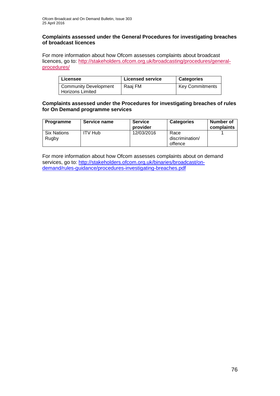#### **Complaints assessed under the General Procedures for investigating breaches of broadcast licences**

For more information about how Ofcom assesses complaints about broadcast licences, go to: [http://stakeholders.ofcom.org.uk/broadcasting/procedures/general](http://stakeholders.ofcom.org.uk/broadcasting/procedures/general-procedures/)[procedures/](http://stakeholders.ofcom.org.uk/broadcasting/procedures/general-procedures/)

| Licensee                     | <b>Licensed service</b> | <b>Categories</b>      |
|------------------------------|-------------------------|------------------------|
| <b>Community Development</b> | Raai FM                 | <b>Key Commitments</b> |
| <b>Horizons Limited</b>      |                         |                        |

## **Complaints assessed under the Procedures for investigating breaches of rules for On Demand programme services**

| Programme                   | Service name   | <b>Service</b><br>provider | <b>Categories</b>                  | Number of<br>complaints |
|-----------------------------|----------------|----------------------------|------------------------------------|-------------------------|
| <b>Six Nations</b><br>Rugby | <b>ITV Hub</b> | 12/03/2016                 | Race<br>discrimination/<br>offence |                         |

For more information about how Ofcom assesses complaints about on demand services, go to: [http://stakeholders.ofcom.org.uk/binaries/broadcast/on](http://stakeholders.ofcom.org.uk/binaries/broadcast/on-demand/rules-guidance/procedures-investigating-breaches.pdf)[demand/rules-guidance/procedures-investigating-breaches.pdf](http://stakeholders.ofcom.org.uk/binaries/broadcast/on-demand/rules-guidance/procedures-investigating-breaches.pdf)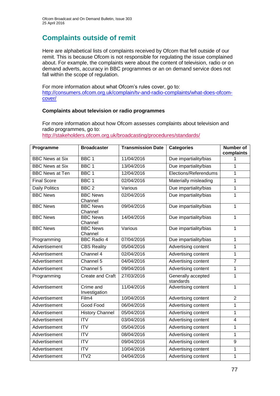# **Complaints outside of remit**

Here are alphabetical lists of complaints received by Ofcom that fell outside of our remit. This is because Ofcom is not responsible for regulating the issue complained about. For example, the complaints were about the content of television, radio or on demand adverts, accuracy in BBC programmes or an on demand service does not fall within the scope of regulation.

For more information about what Ofcom's rules cover, go to: [http://consumers.ofcom.org.uk/complain/tv-and-radio-complaints/what-does-ofcom](http://consumers.ofcom.org.uk/complain/tv-and-radio-complaints/what-does-ofcom-cover/)[cover/](http://consumers.ofcom.org.uk/complain/tv-and-radio-complaints/what-does-ofcom-cover/)

## **Complaints about television or radio programmes**

For more information about how Ofcom assesses complaints about television and radio programmes, go to:

<http://stakeholders.ofcom.org.uk/broadcasting/procedures/standards/>

| Programme              | <b>Broadcaster</b>         | <b>Transmission Date</b> | <b>Categories</b>               | <b>Number of</b><br>complaints |
|------------------------|----------------------------|--------------------------|---------------------------------|--------------------------------|
| <b>BBC News at Six</b> | BBC <sub>1</sub>           | 11/04/2016               | Due impartiality/bias           | 1                              |
| <b>BBC News at Six</b> | BBC <sub>1</sub>           | 13/04/2016               | Due impartiality/bias           | 1                              |
| <b>BBC News at Ten</b> | BBC 1                      | 12/04/2016               | Elections/Referendums           | 1                              |
| <b>Final Score</b>     | BBC <sub>1</sub>           | 02/04/2016               | Materially misleading           | 1                              |
| <b>Daily Politics</b>  | BBC <sub>2</sub>           | Various                  | Due impartiality/bias           | 1                              |
| <b>BBC News</b>        | <b>BBC News</b><br>Channel | 02/04/2016               | Due impartiality/bias           | $\mathbf{1}$                   |
| <b>BBC News</b>        | <b>BBC News</b><br>Channel | 09/04/2016               | Due impartiality/bias           | $\mathbf{1}$                   |
| <b>BBC News</b>        | <b>BBC News</b><br>Channel | 14/04/2016               | Due impartiality/bias           | 1                              |
| <b>BBC News</b>        | <b>BBC News</b><br>Channel | Various                  | Due impartiality/bias           | $\mathbf{1}$                   |
| Programming            | <b>BBC Radio 4</b>         | 07/04/2016               | Due impartiality/bias           | 1                              |
| Advertisement          | <b>CBS Reality</b>         | 05/04/2016               | Advertising content             | 1                              |
| Advertisement          | Channel 4                  | 02/04/2016               | Advertising content             | 1                              |
| Advertisement          | Channel 5                  | 04/04/2016               | Advertising content             | $\overline{7}$                 |
| Advertisement          | Channel 5                  | 09/04/2016               | Advertising content             | 1                              |
| Programming            | <b>Create and Craft</b>    | 27/03/2016               | Generally accepted<br>standards | 1                              |
| Advertisement          | Crime and<br>Investigation | 11/04/2016               | Advertising content             | $\mathbf{1}$                   |
| Advertisement          | Film4                      | 10/04/2016               | Advertising content             | $\overline{2}$                 |
| Advertisement          | Good Food                  | 06/04/2016               | Advertising content             | 1                              |
| Advertisement          | <b>History Channel</b>     | 05/04/2016               | Advertising content             | $\mathbf{1}$                   |
| Advertisement          | ITV                        | 03/04/2016               | Advertising content             | $\overline{\mathbf{4}}$        |
| Advertisement          | <b>ITV</b>                 | 05/04/2016               | Advertising content             | 1                              |
| Advertisement          | <b>ITV</b>                 | 08/04/2016               | Advertising content             | 1                              |
| Advertisement          | <b>ITV</b>                 | 09/04/2016               | Advertising content             | 9                              |
| Advertisement          | <b>ITV</b>                 | 10/04/2016               | Advertising content             | 1                              |
| Advertisement          | ITV2                       | 04/04/2016               | Advertising content             | 1                              |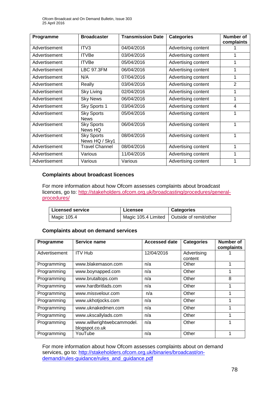| Programme     | <b>Broadcaster</b>                  | <b>Transmission Date</b> | <b>Categories</b>   | <b>Number of</b><br>complaints |
|---------------|-------------------------------------|--------------------------|---------------------|--------------------------------|
| Advertisement | ITV <sub>3</sub>                    | 04/04/2016               | Advertising content |                                |
| Advertisement | <b>ITVBe</b>                        | 03/04/2016               | Advertising content |                                |
| Advertisement | <b>ITVBe</b>                        | 05/04/2016               | Advertising content |                                |
| Advertisement | <b>LBC 97.3FM</b>                   | 06/04/2016               | Advertising content | 1                              |
| Advertisement | N/A                                 | 07/04/2016               | Advertising content | 1                              |
| Advertisement | Really                              | 03/04/2016               | Advertising content | $\overline{2}$                 |
| Advertisement | Sky Living                          | 02/04/2016               | Advertising content |                                |
| Advertisement | <b>Sky News</b>                     | 06/04/2016               | Advertising content | 1                              |
| Advertisement | Sky Sports 1                        | 03/04/2016               | Advertising content | 4                              |
| Advertisement | <b>Sky Sports</b><br><b>News</b>    | 05/04/2016               | Advertising content |                                |
| Advertisement | <b>Sky Sports</b><br>News HQ        | 06/04/2016               | Advertising content | 1                              |
| Advertisement | <b>Sky Sports</b><br>News HQ / Sky1 | 08/04/2016               | Advertising content | 1                              |
| Advertisement | <b>Travel Channel</b>               | 08/04/2016               | Advertising content | 1                              |
| Advertisement | Various                             | 11/04/2016               | Advertising content | 1                              |
| Advertisement | Various                             | Various                  | Advertising content |                                |

#### **Complaints about broadcast licences**

For more information about how Ofcom assesses complaints about broadcast licences, go to: [http://stakeholders.ofcom.org.uk/broadcasting/procedures/general](http://stakeholders.ofcom.org.uk/broadcasting/procedures/general-procedures/)[procedures/](http://stakeholders.ofcom.org.uk/broadcasting/procedures/general-procedures/)

| <b>Licensed service</b> | Licensee | <b>Categories</b>                            |
|-------------------------|----------|----------------------------------------------|
| Magic 105.4             |          | Magic 105.4 Limited   Outside of remit/other |

#### **Complaints about on demand services**

| Programme     | Service name                                 | <b>Accessed date</b> | <b>Categories</b>      | Number of<br>complaints |
|---------------|----------------------------------------------|----------------------|------------------------|-------------------------|
| Advertisement | <b>ITV Hub</b>                               | 12/04/2016           | Advertising<br>content |                         |
| Programming   | www.blakemason.com                           | n/a                  | Other                  | 1                       |
| Programming   | www.boynapped.com                            | n/a                  | Other                  | 1                       |
| Programming   | www.brutaltops.com                           | n/a                  | Other                  | 8                       |
| Programming   | www.hardbritlads.com                         | n/a                  | Other                  |                         |
| Programming   | www.missvelour.com                           | n/a                  | Other                  |                         |
| Programming   | www.ukhotjocks.com                           | n/a                  | Other                  |                         |
| Programming   | www.uknakedmen.com                           | n/a                  | Other                  |                         |
| Programming   | www.ukscallylads.com                         | n/a                  | Other                  |                         |
| Programming   | www.willwrightwebcammodel.<br>blogspot.co.uk | n/a                  | Other                  |                         |
| Programming   | YouTube                                      | n/a                  | Other                  |                         |

For more information about how Ofcom assesses complaints about on demand services, go to: [http://stakeholders.ofcom.org.uk/binaries/broadcast/on](http://stakeholders.ofcom.org.uk/binaries/broadcast/on-demand/rules-guidance/rules_and_guidance.pdf)[demand/rules-guidance/rules\\_and\\_guidance.pdf](http://stakeholders.ofcom.org.uk/binaries/broadcast/on-demand/rules-guidance/rules_and_guidance.pdf)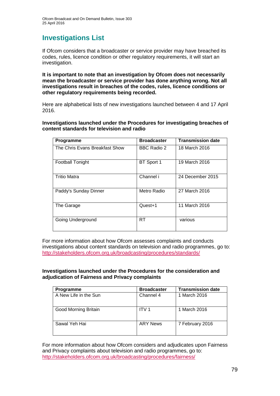## **Investigations List**

If Ofcom considers that a broadcaster or service provider may have breached its codes, rules, licence condition or other regulatory requirements, it will start an investigation.

**It is important to note that an investigation by Ofcom does not necessarily mean the broadcaster or service provider has done anything wrong. Not all investigations result in breaches of the codes, rules, licence conditions or other regulatory requirements being recorded.**

Here are alphabetical lists of new investigations launched between 4 and 17 April 2016.

**Investigations launched under the Procedures for investigating breaches of content standards for television and radio**

| Programme                      | <b>Broadcaster</b> | <b>Transmission date</b> |
|--------------------------------|--------------------|--------------------------|
| The Chris Evans Breakfast Show | <b>BBC Radio 2</b> | 18 March 2016            |
| <b>Football Tonight</b>        | BT Sport 1         | 19 March 2016            |
| <b>Tritio Matra</b>            | Channel i          | 24 December 2015         |
| Paddy's Sunday Dinner          | Metro Radio        | 27 March 2016            |
| The Garage                     | Quest+1            | 11 March 2016            |
| Going Underground              | RT                 | various                  |

For more information about how Ofcom assesses complaints and conducts investigations about content standards on television and radio programmes, go to: <http://stakeholders.ofcom.org.uk/broadcasting/procedures/standards/>

**Investigations launched under the Procedures for the consideration and adjudication of Fairness and Privacy complaints**

| <b>Programme</b>      | <b>Broadcaster</b> | <b>Transmission date</b> |
|-----------------------|--------------------|--------------------------|
| A New Life in the Sun | Channel 4          | 1 March 2016             |
| Good Morning Britain  | ITV <sub>1</sub>   | 1 March 2016             |
| Sawal Yeh Hai         | <b>ARY News</b>    | 7 February 2016          |

For more information about how Ofcom considers and adjudicates upon Fairness and Privacy complaints about television and radio programmes, go to: <http://stakeholders.ofcom.org.uk/broadcasting/procedures/fairness/>